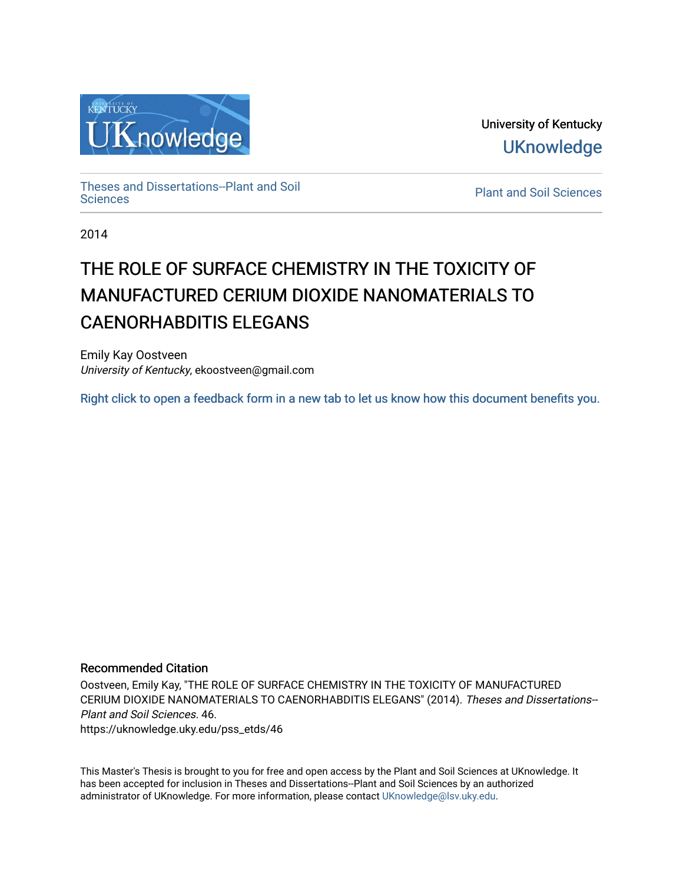

University of Kentucky **UKnowledge** 

[Theses and Dissertations--Plant and Soil](https://uknowledge.uky.edu/pss_etds)

**Plant and Soil [Sciences](https://uknowledge.uky.edu/pss_etds)** 

2014

# THE ROLE OF SURFACE CHEMISTRY IN THE TOXICITY OF MANUFACTURED CERIUM DIOXIDE NANOMATERIALS TO CAENORHABDITIS ELEGANS

Emily Kay Oostveen University of Kentucky, ekoostveen@gmail.com

[Right click to open a feedback form in a new tab to let us know how this document benefits you.](https://uky.az1.qualtrics.com/jfe/form/SV_9mq8fx2GnONRfz7)

### Recommended Citation

Oostveen, Emily Kay, "THE ROLE OF SURFACE CHEMISTRY IN THE TOXICITY OF MANUFACTURED CERIUM DIOXIDE NANOMATERIALS TO CAENORHABDITIS ELEGANS" (2014). Theses and Dissertations-- Plant and Soil Sciences. 46. https://uknowledge.uky.edu/pss\_etds/46

This Master's Thesis is brought to you for free and open access by the Plant and Soil Sciences at UKnowledge. It has been accepted for inclusion in Theses and Dissertations--Plant and Soil Sciences by an authorized administrator of UKnowledge. For more information, please contact [UKnowledge@lsv.uky.edu](mailto:UKnowledge@lsv.uky.edu).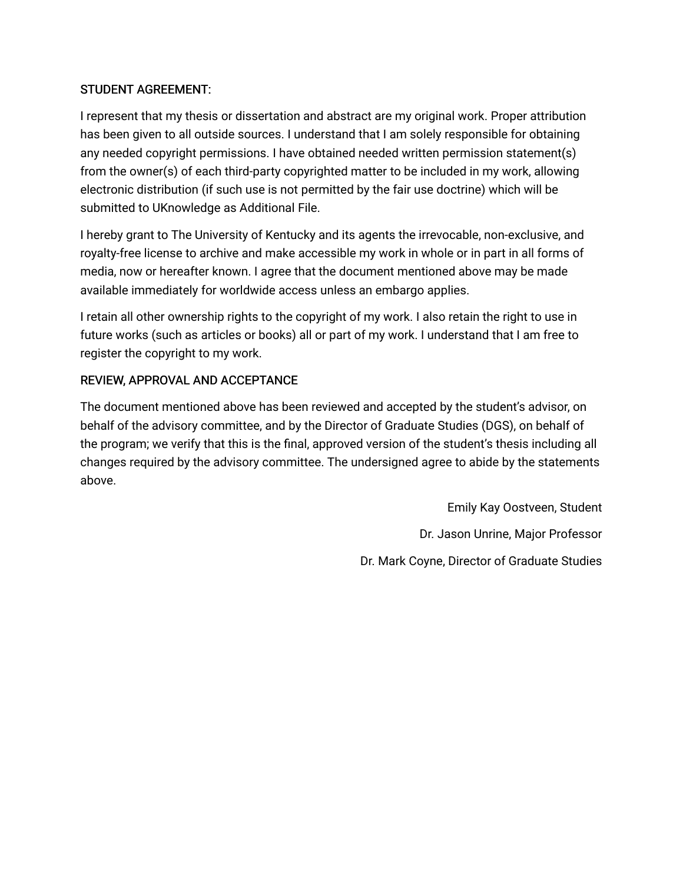### STUDENT AGREEMENT:

I represent that my thesis or dissertation and abstract are my original work. Proper attribution has been given to all outside sources. I understand that I am solely responsible for obtaining any needed copyright permissions. I have obtained needed written permission statement(s) from the owner(s) of each third-party copyrighted matter to be included in my work, allowing electronic distribution (if such use is not permitted by the fair use doctrine) which will be submitted to UKnowledge as Additional File.

I hereby grant to The University of Kentucky and its agents the irrevocable, non-exclusive, and royalty-free license to archive and make accessible my work in whole or in part in all forms of media, now or hereafter known. I agree that the document mentioned above may be made available immediately for worldwide access unless an embargo applies.

I retain all other ownership rights to the copyright of my work. I also retain the right to use in future works (such as articles or books) all or part of my work. I understand that I am free to register the copyright to my work.

### REVIEW, APPROVAL AND ACCEPTANCE

The document mentioned above has been reviewed and accepted by the student's advisor, on behalf of the advisory committee, and by the Director of Graduate Studies (DGS), on behalf of the program; we verify that this is the final, approved version of the student's thesis including all changes required by the advisory committee. The undersigned agree to abide by the statements above.

> Emily Kay Oostveen, Student Dr. Jason Unrine, Major Professor Dr. Mark Coyne, Director of Graduate Studies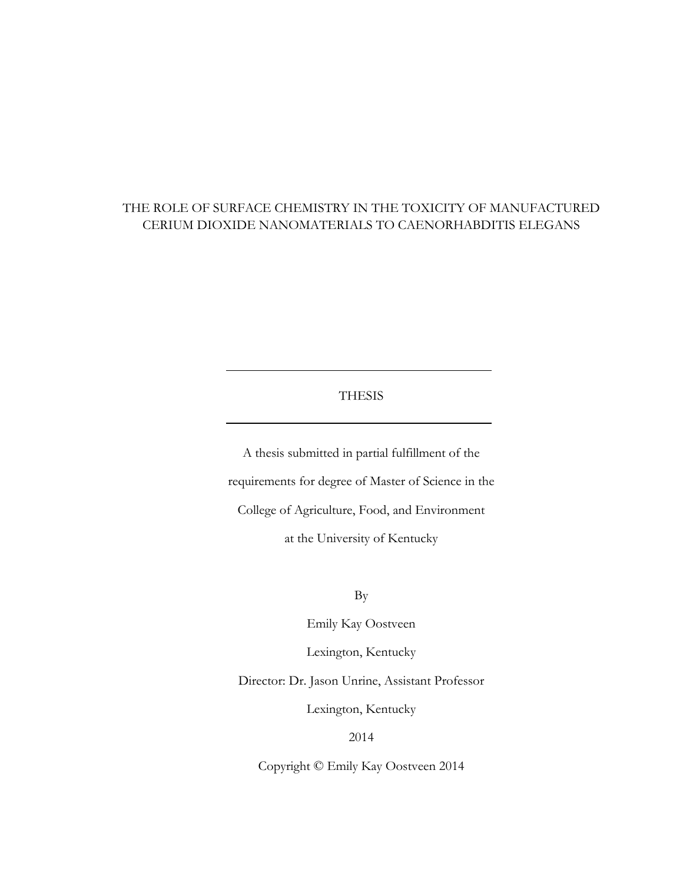### THE ROLE OF SURFACE CHEMISTRY IN THE TOXICITY OF MANUFACTURED CERIUM DIOXIDE NANOMATERIALS TO CAENORHABDITIS ELEGANS

#### THESIS

A thesis submitted in partial fulfillment of the requirements for degree of Master of Science in the College of Agriculture, Food, and Environment at the University of Kentucky

By

Emily Kay Oostveen

Lexington, Kentucky

Director: Dr. Jason Unrine, Assistant Professor

Lexington, Kentucky

2014

Copyright © Emily Kay Oostveen 2014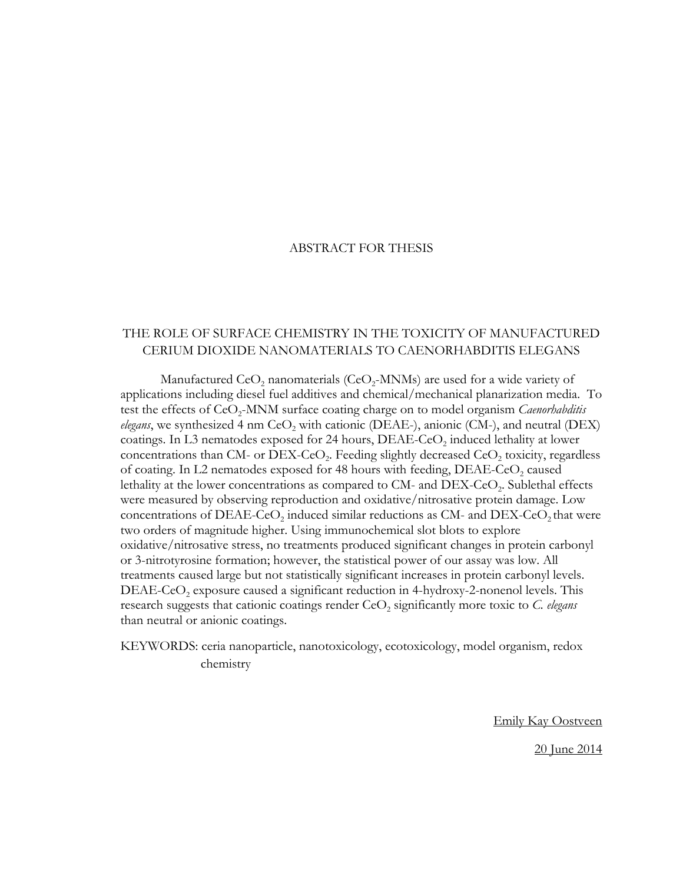#### ABSTRACT FOR THESIS

### THE ROLE OF SURFACE CHEMISTRY IN THE TOXICITY OF MANUFACTURED CERIUM DIOXIDE NANOMATERIALS TO CAENORHABDITIS ELEGANS

Manufactured  $\text{CeO}_2$  nanomaterials (CeO<sub>2</sub>-MNMs) are used for a wide variety of applications including diesel fuel additives and chemical/mechanical planarization media. To test the effects of CeO<sub>2</sub>-MNM surface coating charge on to model organism *Caenorhabditis elegans*, we synthesized 4 nm CeO<sub>2</sub> with cationic (DEAE-), anionic (CM-), and neutral (DEX) coatings. In L3 nematodes exposed for 24 hours,  $DEAE-CeO<sub>2</sub>$  induced lethality at lower concentrations than  $CM$ - or  $DEX$ -CeO<sub>2</sub>. Feeding slightly decreased  $CeO<sub>2</sub>$  toxicity, regardless of coating. In L2 nematodes exposed for 48 hours with feeding,  $DEAE-CeO<sub>2</sub>$  caused lethality at the lower concentrations as compared to CM- and  $DEX-CeO<sub>2</sub>$ . Sublethal effects were measured by observing reproduction and oxidative/nitrosative protein damage. Low concentrations of DEAE-CeO<sub>2</sub> induced similar reductions as CM- and DEX-CeO<sub>2</sub> that were two orders of magnitude higher. Using immunochemical slot blots to explore oxidative/nitrosative stress, no treatments produced significant changes in protein carbonyl or 3-nitrotyrosine formation; however, the statistical power of our assay was low. All treatments caused large but not statistically significant increases in protein carbonyl levels.  $DEAE-CeO<sub>2</sub>$  exposure caused a significant reduction in 4-hydroxy-2-nonenol levels. This research suggests that cationic coatings render CeO<sub>2</sub> significantly more toxic to *C. elegans* than neutral or anionic coatings.

KEYWORDS: ceria nanoparticle, nanotoxicology, ecotoxicology, model organism, redox chemistry

Emily Kay Oostveen

20 June 2014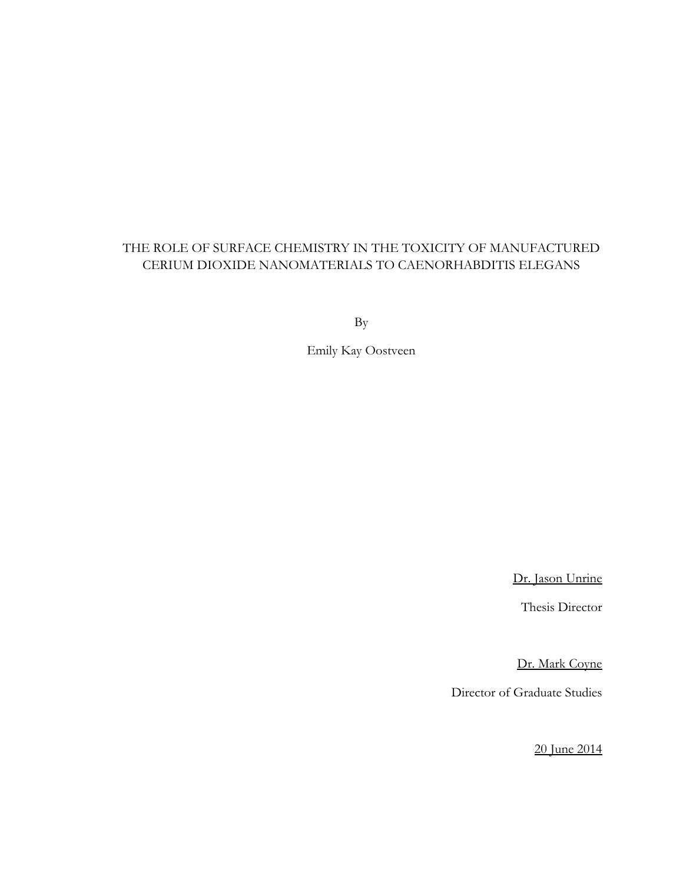### THE ROLE OF SURFACE CHEMISTRY IN THE TOXICITY OF MANUFACTURED CERIUM DIOXIDE NANOMATERIALS TO CAENORHABDITIS ELEGANS

By

Emily Kay Oostveen

Dr. Jason Unrine

Thesis Director

Dr. Mark Coyne

Director of Graduate Studies

20 June 2014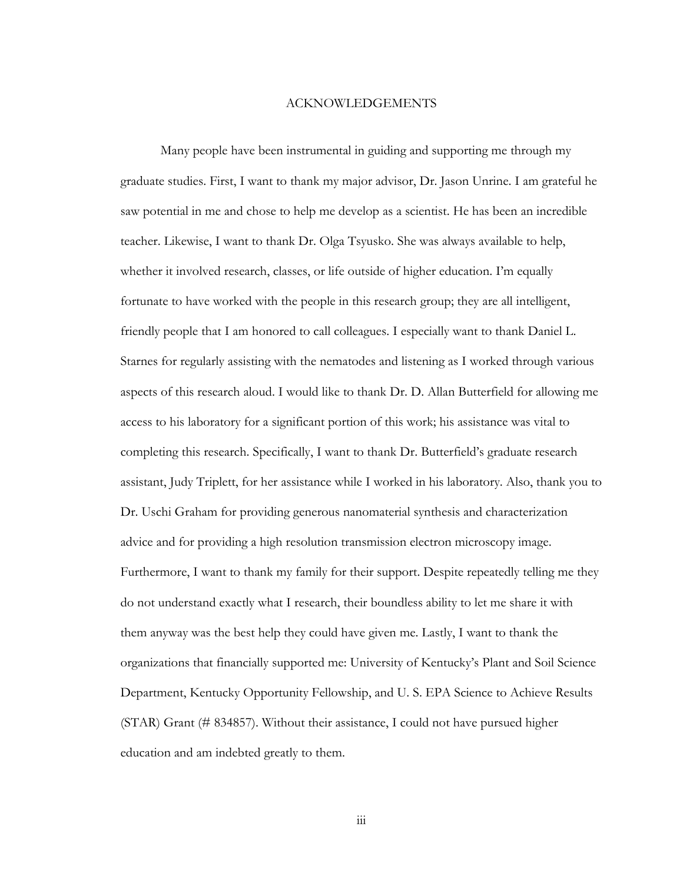#### ACKNOWLEDGEMENTS

<span id="page-5-0"></span>Many people have been instrumental in guiding and supporting me through my graduate studies. First, I want to thank my major advisor, Dr. Jason Unrine. I am grateful he saw potential in me and chose to help me develop as a scientist. He has been an incredible teacher. Likewise, I want to thank Dr. Olga Tsyusko. She was always available to help, whether it involved research, classes, or life outside of higher education. I'm equally fortunate to have worked with the people in this research group; they are all intelligent, friendly people that I am honored to call colleagues. I especially want to thank Daniel L. Starnes for regularly assisting with the nematodes and listening as I worked through various aspects of this research aloud. I would like to thank Dr. D. Allan Butterfield for allowing me access to his laboratory for a significant portion of this work; his assistance was vital to completing this research. Specifically, I want to thank Dr. Butterfield's graduate research assistant, Judy Triplett, for her assistance while I worked in his laboratory. Also, thank you to Dr. Uschi Graham for providing generous nanomaterial synthesis and characterization advice and for providing a high resolution transmission electron microscopy image. Furthermore, I want to thank my family for their support. Despite repeatedly telling me they do not understand exactly what I research, their boundless ability to let me share it with them anyway was the best help they could have given me. Lastly, I want to thank the organizations that financially supported me: University of Kentucky's Plant and Soil Science Department, Kentucky Opportunity Fellowship, and U. S. EPA Science to Achieve Results (STAR) Grant (# 834857). Without their assistance, I could not have pursued higher education and am indebted greatly to them.

iii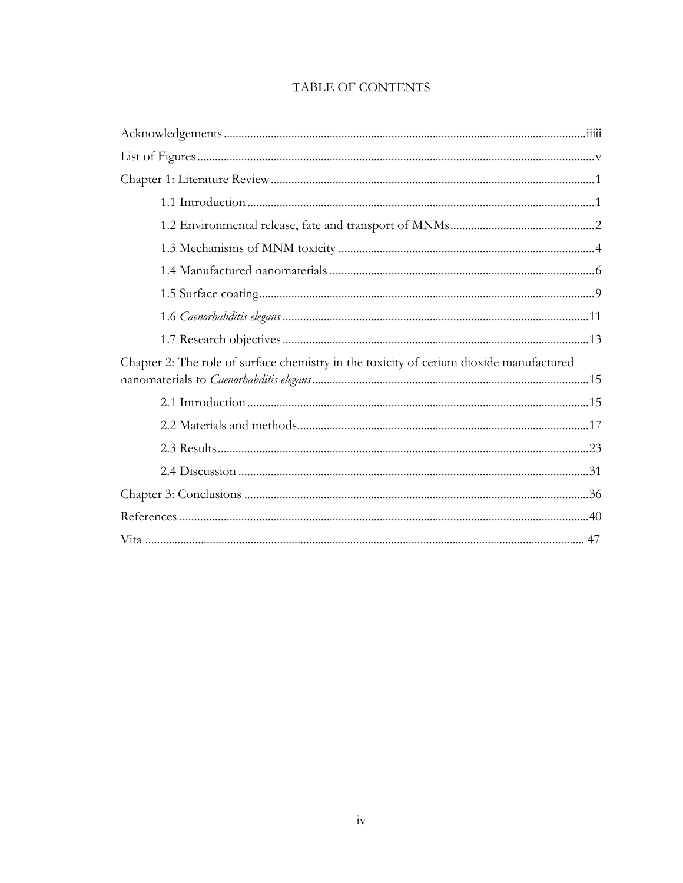| Chapter 2: The role of surface chemistry in the toxicity of cerium dioxide manufactured |  |
|-----------------------------------------------------------------------------------------|--|
|                                                                                         |  |
|                                                                                         |  |
|                                                                                         |  |
|                                                                                         |  |
|                                                                                         |  |
|                                                                                         |  |
|                                                                                         |  |
|                                                                                         |  |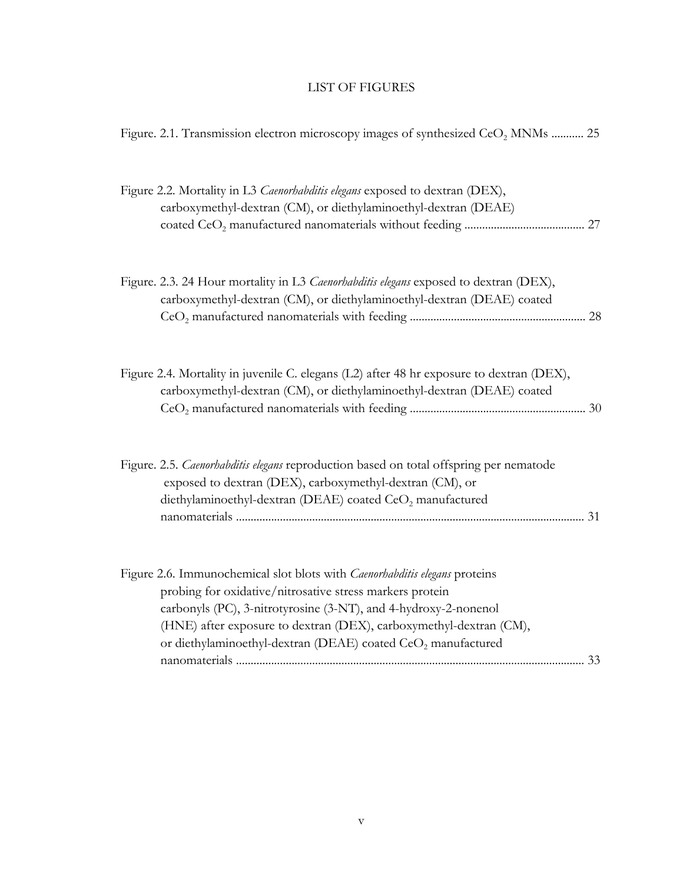### LIST OF FIGURES

<span id="page-7-0"></span>

| Figure. 2.1. Transmission electron microscopy images of synthesized CeO <sub>2</sub> MNMs  25                                                                                                                                                                                                                                                               |
|-------------------------------------------------------------------------------------------------------------------------------------------------------------------------------------------------------------------------------------------------------------------------------------------------------------------------------------------------------------|
| Figure 2.2. Mortality in L3 Caenorhabditis elegans exposed to dextran (DEX),<br>carboxymethyl-dextran (CM), or diethylaminoethyl-dextran (DEAE)                                                                                                                                                                                                             |
| Figure. 2.3. 24 Hour mortality in L3 Caenorhabditis elegans exposed to dextran (DEX),<br>carboxymethyl-dextran (CM), or diethylaminoethyl-dextran (DEAE) coated                                                                                                                                                                                             |
| Figure 2.4. Mortality in juvenile C. elegans (L2) after 48 hr exposure to dextran (DEX),<br>carboxymethyl-dextran (CM), or diethylaminoethyl-dextran (DEAE) coated                                                                                                                                                                                          |
| Figure. 2.5. Caenorhabditis elegans reproduction based on total offspring per nematode<br>exposed to dextran (DEX), carboxymethyl-dextran (CM), or<br>diethylaminoethyl-dextran (DEAE) coated CeO <sub>2</sub> manufactured                                                                                                                                 |
| Figure 2.6. Immunochemical slot blots with Caenorhabditis elegans proteins<br>probing for oxidative/nitrosative stress markers protein<br>carbonyls (PC), 3-nitrotyrosine (3-NT), and 4-hydroxy-2-nonenol<br>(HNE) after exposure to dextran (DEX), carboxymethyl-dextran (CM),<br>or diethylaminoethyl-dextran (DEAE) coated CeO <sub>2</sub> manufactured |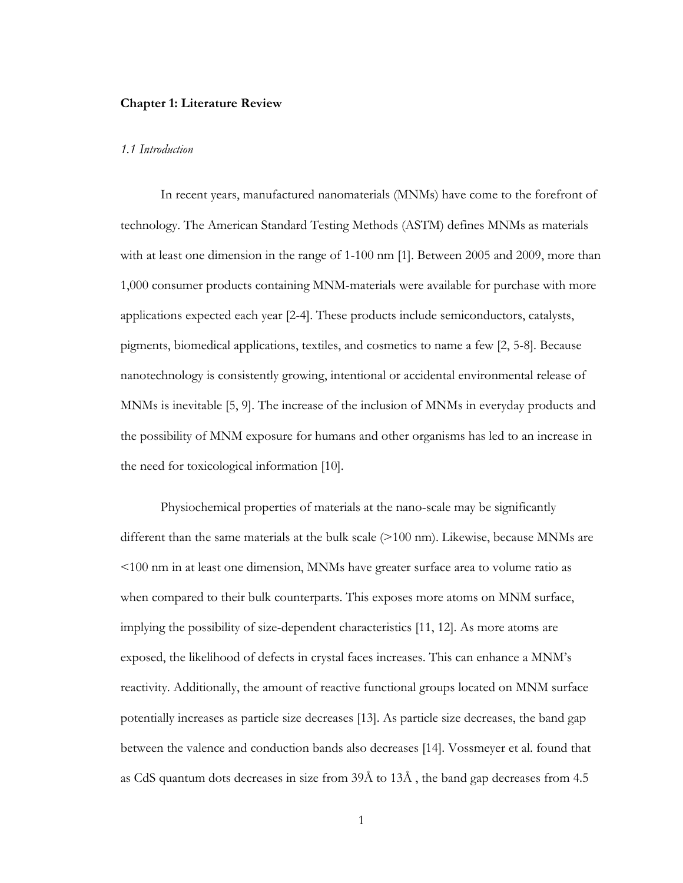#### <span id="page-8-0"></span>**Chapter 1: Literature Review**

#### <span id="page-8-1"></span>*1.1 Introduction*

In recent years, manufactured nanomaterials (MNMs) have come to the forefront of technology. The American Standard Testing Methods (ASTM) defines MNMs as materials with at least one dimension in the range of 1-100 nm [\[1\]](#page-47-1). Between 2005 and 2009, more than 1,000 consumer products containing MNM-materials were available for purchase with more applications expected each year [\[2-4\]](#page-47-2). These products include semiconductors, catalysts, pigments, biomedical applications, textiles, and cosmetics to name a few [\[2,](#page-47-2) [5-8\]](#page-47-3). Because nanotechnology is consistently growing, intentional or accidental environmental release of MNMs is inevitable [\[5,](#page-47-3) [9\]](#page-47-4). The increase of the inclusion of MNMs in everyday products and the possibility of MNM exposure for humans and other organisms has led to an increase in the need for toxicological information [\[10\]](#page-47-5).

Physiochemical properties of materials at the nano-scale may be significantly different than the same materials at the bulk scale (>100 nm). Likewise, because MNMs are <100 nm in at least one dimension, MNMs have greater surface area to volume ratio as when compared to their bulk counterparts. This exposes more atoms on MNM surface, implying the possibility of size-dependent characteristics [\[11,](#page-47-6) [12\]](#page-47-7). As more atoms are exposed, the likelihood of defects in crystal faces increases. This can enhance a MNM's reactivity. Additionally, the amount of reactive functional groups located on MNM surface potentially increases as particle size decreases [\[13\]](#page-47-8). As particle size decreases, the band gap between the valence and conduction bands also decreases [\[14\]](#page-47-9). Vossmeyer et al. found that as CdS quantum dots decreases in size from 39Å to 13Å , the band gap decreases from 4.5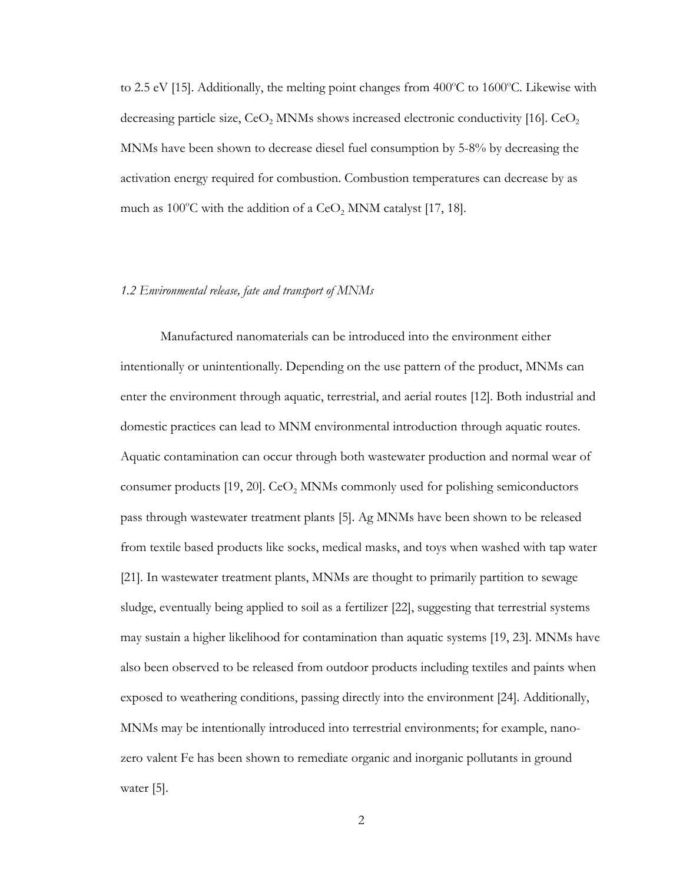to 2.5 eV [\[15\]](#page-47-10). Additionally, the melting point changes from  $400^{\circ}$ C to  $1600^{\circ}$ C. Likewise with decreasing particle size,  $CeO$ , MNMs shows increased electronic conductivity [\[16\]](#page-47-11).  $CeO$ , MNMs have been shown to decrease diesel fuel consumption by 5-8% by decreasing the activation energy required for combustion. Combustion temperatures can decrease by as much as 100°C with the addition of a  $\text{CeO}_2$  MNM catalyst [\[17,](#page-47-12) [18\]](#page-47-13).

#### <span id="page-9-0"></span>*1.2 Environmental release, fate and transport of MNMs*

Manufactured nanomaterials can be introduced into the environment either intentionally or unintentionally. Depending on the use pattern of the product, MNMs can enter the environment through aquatic, terrestrial, and aerial routes [\[12\]](#page-47-7). Both industrial and domestic practices can lead to MNM environmental introduction through aquatic routes. Aquatic contamination can occur through both wastewater production and normal wear of consumer products  $[19, 20]$  $[19, 20]$ . CeO<sub>2</sub> MNMs commonly used for polishing semiconductors pass through wastewater treatment plants [\[5\]](#page-47-3). Ag MNMs have been shown to be released from textile based products like socks, medical masks, and toys when washed with tap water [\[21\]](#page-48-1). In wastewater treatment plants, MNMs are thought to primarily partition to sewage sludge, eventually being applied to soil as a fertilizer [\[22\]](#page-48-2), suggesting that terrestrial systems may sustain a higher likelihood for contamination than aquatic systems [\[19,](#page-47-14) [23\]](#page-48-3). MNMs have also been observed to be released from outdoor products including textiles and paints when exposed to weathering conditions, passing directly into the environment [\[24\]](#page-48-4). Additionally, MNMs may be intentionally introduced into terrestrial environments; for example, nanozero valent Fe has been shown to remediate organic and inorganic pollutants in ground water [\[5\]](#page-47-3).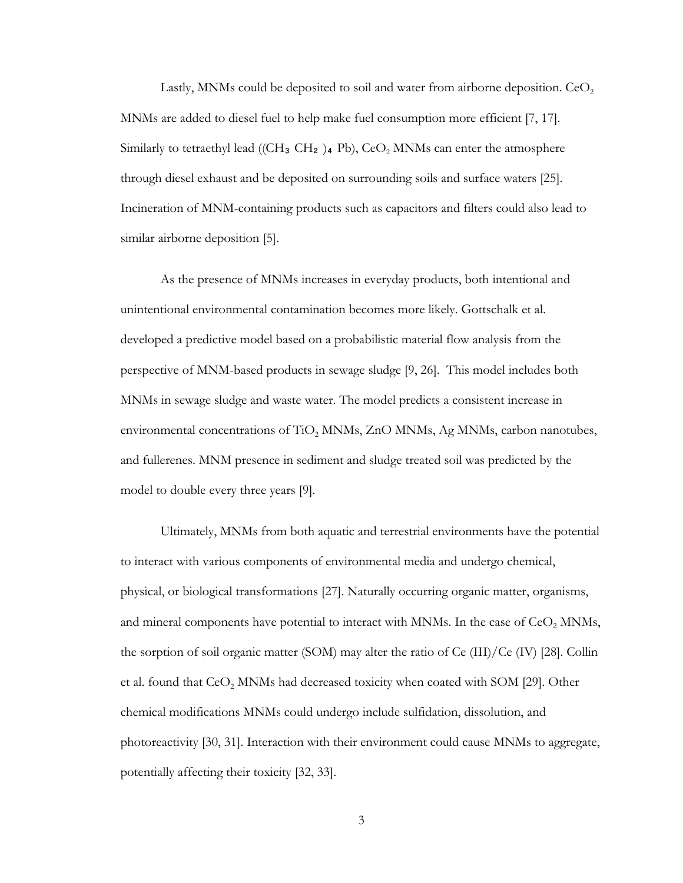Lastly, MNMs could be deposited to soil and water from airborne deposition.  $CeO<sub>2</sub>$ MNMs are added to diesel fuel to help make fuel consumption more efficient [\[7,](#page-47-15) [17\]](#page-47-12). Similarly to tetraethyl lead ((CH<sub>3</sub> CH<sub>2</sub>)<sub>4</sub> Pb), CeO<sub>2</sub> MNMs can enter the atmosphere through diesel exhaust and be deposited on surrounding soils and surface waters [\[25\]](#page-48-5). Incineration of MNM-containing products such as capacitors and filters could also lead to similar airborne deposition [\[5\]](#page-47-3).

As the presence of MNMs increases in everyday products, both intentional and unintentional environmental contamination becomes more likely. Gottschalk et al. developed a predictive model based on a probabilistic material flow analysis from the perspective of MNM-based products in sewage sludge [\[9,](#page-47-4) [26\]](#page-48-6). This model includes both MNMs in sewage sludge and waste water. The model predicts a consistent increase in environmental concentrations of TiO<sub>2</sub> MNMs, ZnO MNMs, Ag MNMs, carbon nanotubes, and fullerenes. MNM presence in sediment and sludge treated soil was predicted by the model to double every three years [\[9\]](#page-47-4).

Ultimately, MNMs from both aquatic and terrestrial environments have the potential to interact with various components of environmental media and undergo chemical, physical, or biological transformations [\[27\]](#page-48-7). Naturally occurring organic matter, organisms, and mineral components have potential to interact with MNMs. In the case of  $CeO<sub>2</sub>$  MNMs, the sorption of soil organic matter (SOM) may alter the ratio of Ce (III)/Ce (IV) [\[28\]](#page-48-8). Collin et al. found that CeO<sub>2</sub> MNMs had decreased toxicity when coated with SOM [\[29\]](#page-48-9). Other chemical modifications MNMs could undergo include sulfidation, dissolution, and photoreactivity [\[30,](#page-48-10) [31\]](#page-48-11). Interaction with their environment could cause MNMs to aggregate, potentially affecting their toxicity [\[32,](#page-48-12) [33\]](#page-48-13).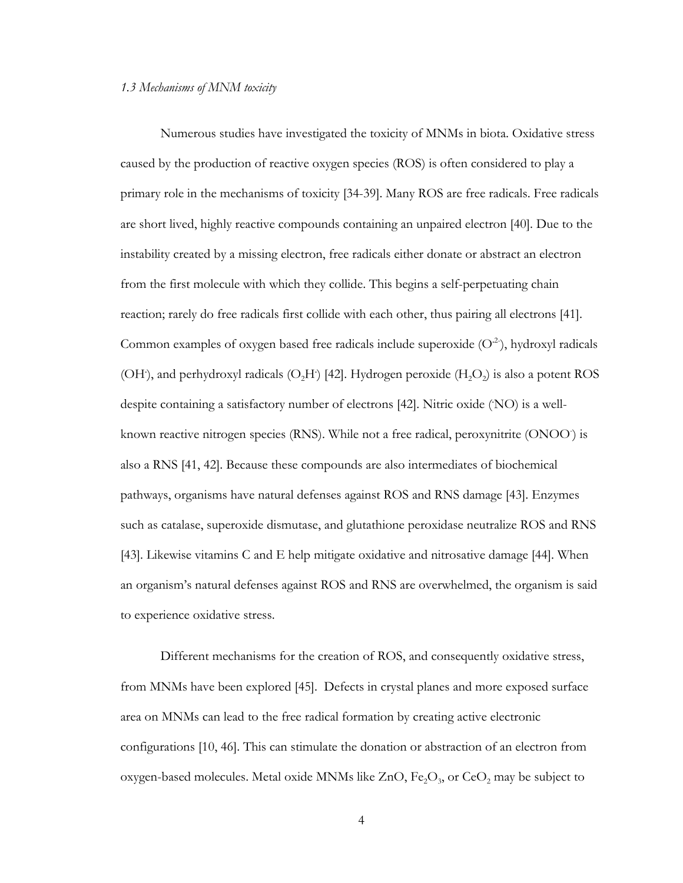#### <span id="page-11-0"></span>*1.3 Mechanisms of MNM toxicity*

Numerous studies have investigated the toxicity of MNMs in biota. Oxidative stress caused by the production of reactive oxygen species (ROS) is often considered to play a primary role in the mechanisms of toxicity [\[34-39\]](#page-48-14). Many ROS are free radicals. Free radicals are short lived, highly reactive compounds containing an unpaired electron [\[40\]](#page-49-0). Due to the instability created by a missing electron, free radicals either donate or abstract an electron from the first molecule with which they collide. This begins a self-perpetuating chain reaction; rarely do free radicals first collide with each other, thus pairing all electrons [\[41\]](#page-49-1). Common examples of oxygen based free radicals include superoxide (O**.**2- ), hydroxyl radicals (OH), and perhydroxyl radicals (O<sub>2</sub>H) [\[42\]](#page-49-2). Hydrogen peroxide (H<sub>2</sub>O<sub>2</sub>) is also a potent ROS despite containing a satisfactory number of electrons [\[42\]](#page-49-2). Nitric oxide (NO) is a wellknown reactive nitrogen species (RNS). While not a free radical, peroxynitrite (ONOO) is also a RNS [\[41,](#page-49-1) [42\]](#page-49-2). Because these compounds are also intermediates of biochemical pathways, organisms have natural defenses against ROS and RNS damage [\[43\]](#page-49-3). Enzymes such as catalase, superoxide dismutase, and glutathione peroxidase neutralize ROS and RNS [\[43\]](#page-49-3). Likewise vitamins C and E help mitigate oxidative and nitrosative damage [\[44\]](#page-49-4). When an organism's natural defenses against ROS and RNS are overwhelmed, the organism is said to experience oxidative stress.

Different mechanisms for the creation of ROS, and consequently oxidative stress, from MNMs have been explored [\[45\]](#page-49-5). Defects in crystal planes and more exposed surface area on MNMs can lead to the free radical formation by creating active electronic configurations [\[10,](#page-47-5) [46\]](#page-49-6). This can stimulate the donation or abstraction of an electron from oxygen-based molecules. Metal oxide MNMs like  $ZnO$ ,  $Fe<sub>2</sub>O<sub>3</sub>$ , or  $CeO<sub>2</sub>$  may be subject to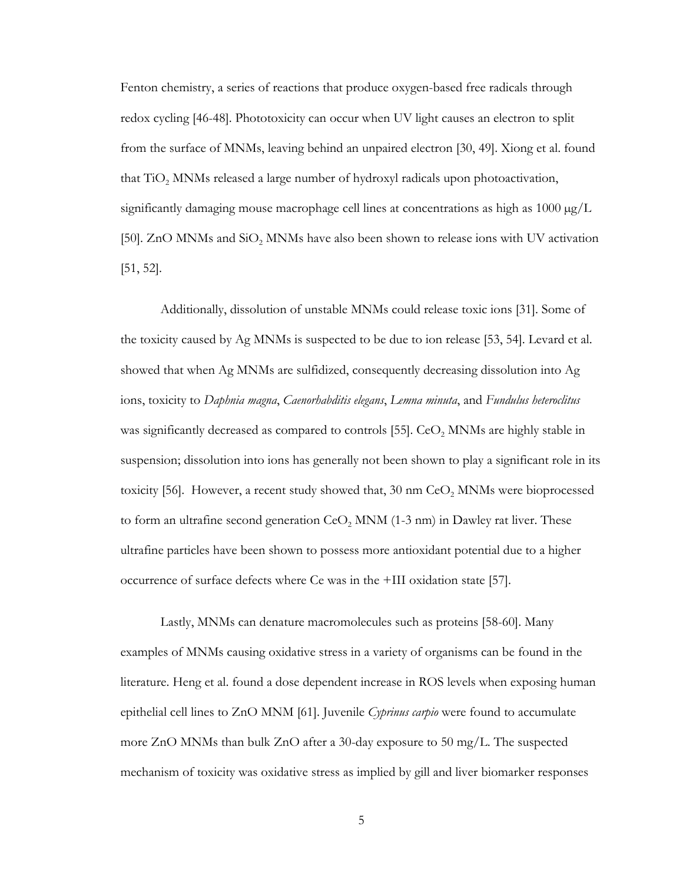Fenton chemistry, a series of reactions that produce oxygen-based free radicals through redox cycling [\[46-48\]](#page-49-6). Phototoxicity can occur when UV light causes an electron to split from the surface of MNMs, leaving behind an unpaired electron [\[30,](#page-48-10) [49\]](#page-49-7). Xiong et al. found that TiO2 MNMs released a large number of hydroxyl radicals upon photoactivation, significantly damaging mouse macrophage cell lines at concentrations as high as  $1000 \mu g/L$ [\[50\]](#page-49-8). ZnO MNMs and  $SiO<sub>2</sub>$  MNMs have also been shown to release ions with UV activation [\[51,](#page-49-9) [52\]](#page-49-10).

Additionally, dissolution of unstable MNMs could release toxic ions [\[31\]](#page-48-11). Some of the toxicity caused by Ag MNMs is suspected to be due to ion release [\[53,](#page-49-11) [54\]](#page-49-12). Levard et al. showed that when Ag MNMs are sulfidized, consequently decreasing dissolution into Ag ions, toxicity to *Daphnia magna*, *Caenorhabditis elegans*, *Lemna minuta*, and *Fundulus heteroclitus* was significantly decreased as compared to controls [\[55\]](#page-49-13). CeO<sub>2</sub> MNMs are highly stable in suspension; dissolution into ions has generally not been shown to play a significant role in its toxicity [\[56\]](#page-49-14). However, a recent study showed that,  $30 \text{ nm } \text{CeO}_2 \text{ MNMs}$  were bioprocessed to form an ultrafine second generation  $CeO<sub>2</sub>$  MNM (1-3 nm) in Dawley rat liver. These ultrafine particles have been shown to possess more antioxidant potential due to a higher occurrence of surface defects where Ce was in the +III oxidation state [\[57\]](#page-49-15).

Lastly, MNMs can denature macromolecules such as proteins [\[58-60\]](#page-49-16). Many examples of MNMs causing oxidative stress in a variety of organisms can be found in the literature. Heng et al. found a dose dependent increase in ROS levels when exposing human epithelial cell lines to ZnO MNM [\[61\]](#page-50-0). Juvenile *Cyprinus carpio* were found to accumulate more ZnO MNMs than bulk ZnO after a 30-day exposure to 50 mg/L. The suspected mechanism of toxicity was oxidative stress as implied by gill and liver biomarker responses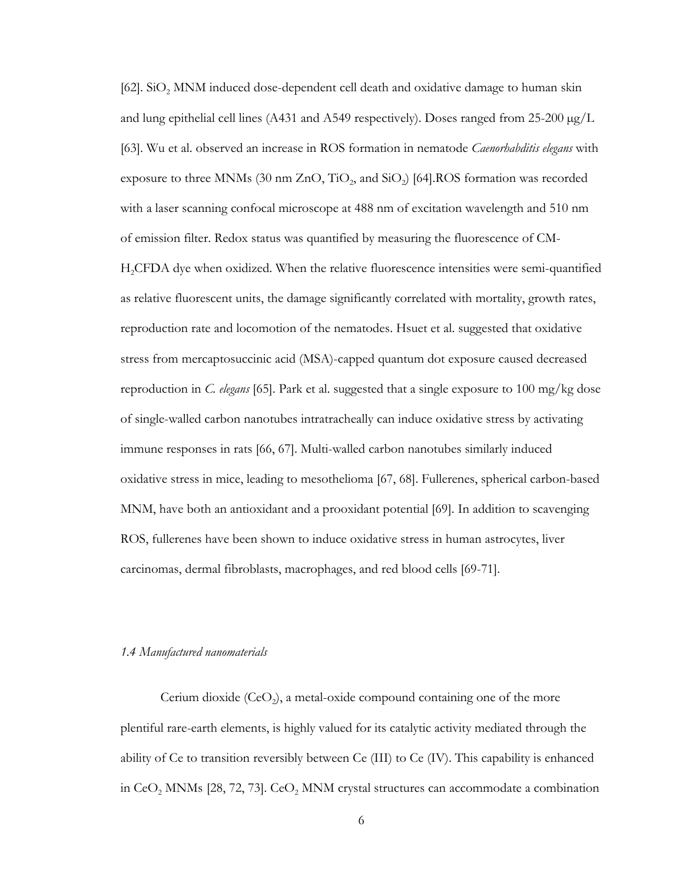$[62]$ . SiO<sub>2</sub> MNM induced dose-dependent cell death and oxidative damage to human skin and lung epithelial cell lines (A431 and A549 respectively). Doses ranged from  $25{\text -}200 \,\mu\text{g/L}$ [\[63\]](#page-50-2). Wu et al. observed an increase in ROS formation in nematode *Caenorhabditis elegans* with exposure to three MNMs (30 nm  $ZnO$ ,  $TiO<sub>2</sub>$ , and  $SiO<sub>2</sub>$ ) [\[64\]](#page-50-3). ROS formation was recorded with a laser scanning confocal microscope at 488 nm of excitation wavelength and 510 nm of emission filter. Redox status was quantified by measuring the fluorescence of CM-H2CFDA dye when oxidized. When the relative fluorescence intensities were semi-quantified as relative fluorescent units, the damage significantly correlated with mortality, growth rates, reproduction rate and locomotion of the nematodes. Hsuet et al. suggested that oxidative stress from mercaptosuccinic acid (MSA)-capped quantum dot exposure caused decreased reproduction in *C. elegans* [\[65\]](#page-50-4). Park et al. suggested that a single exposure to 100 mg/kg dose of single-walled carbon nanotubes intratracheally can induce oxidative stress by activating immune responses in rats [\[66,](#page-50-5) [67\]](#page-50-6). Multi-walled carbon nanotubes similarly induced oxidative stress in mice, leading to mesothelioma [\[67,](#page-50-6) [68\]](#page-50-7). Fullerenes, spherical carbon-based MNM, have both an antioxidant and a prooxidant potential [\[69\]](#page-50-8). In addition to scavenging ROS, fullerenes have been shown to induce oxidative stress in human astrocytes, liver carcinomas, dermal fibroblasts, macrophages, and red blood cells [\[69-71\]](#page-50-8).

#### <span id="page-13-0"></span>*1.4 Manufactured nanomaterials*

Cerium dioxide  $(CeO<sub>2</sub>)$ , a metal-oxide compound containing one of the more plentiful rare-earth elements, is highly valued for its catalytic activity mediated through the ability of Ce to transition reversibly between Ce (III) to Ce (IV). This capability is enhanced in  $CeO<sub>2</sub>$  MNMs [\[28,](#page-48-8) [72,](#page-50-9) [73\]](#page-50-10).  $CeO<sub>2</sub>$  MNM crystal structures can accommodate a combination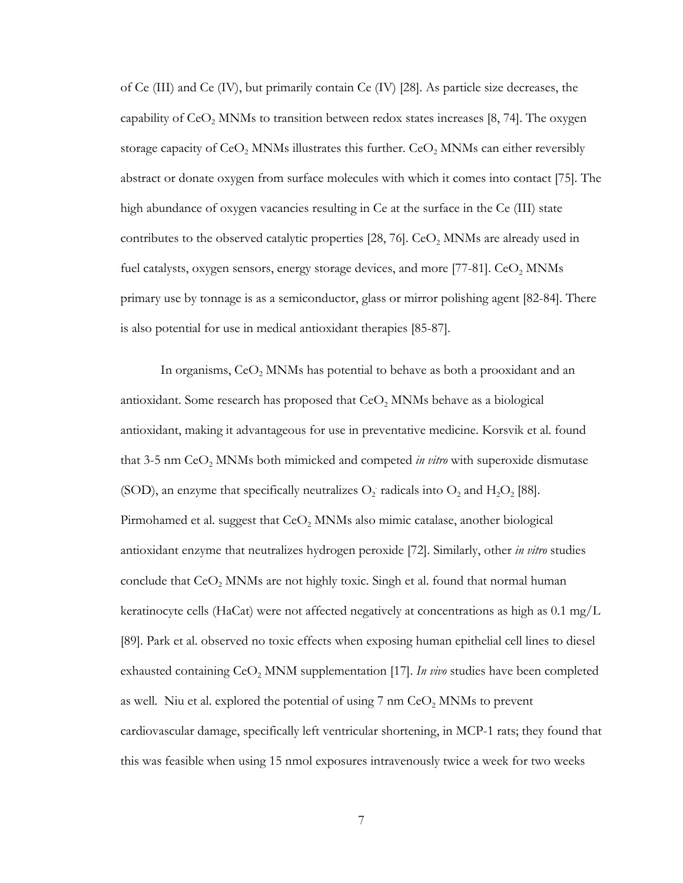of Ce (III) and Ce (IV), but primarily contain Ce (IV) [\[28\]](#page-48-8). As particle size decreases, the capability of  $CeO<sub>2</sub>$  MNMs to transition between redox states increases [\[8,](#page-47-16) [74\]](#page-50-11). The oxygen storage capacity of  $CeO<sub>2</sub>$  MNMs illustrates this further.  $CeO<sub>2</sub>$  MNMs can either reversibly abstract or donate oxygen from surface molecules with which it comes into contact [\[75\]](#page-50-12). The high abundance of oxygen vacancies resulting in Ce at the surface in the Ce (III) state contributes to the observed catalytic properties  $[28, 76]$  $[28, 76]$ .  $CeO<sub>2</sub>$  MNMs are already used in fuel catalysts, oxygen sensors, energy storage devices, and more [\[77-81\]](#page-50-14).  $CoO<sub>2</sub>$  MNMs primary use by tonnage is as a semiconductor, glass or mirror polishing agent [\[82-84\]](#page-51-0). There is also potential for use in medical antioxidant therapies [\[85-87\]](#page-51-1).

In organisms,  $CeO<sub>2</sub>$  MNMs has potential to behave as both a prooxidant and an antioxidant. Some research has proposed that CeO<sub>2</sub> MNMs behave as a biological antioxidant, making it advantageous for use in preventative medicine. Korsvik et al. found that 3-5 nm CeO2 MNMs both mimicked and competed *in vitro* with superoxide dismutase (SOD), an enzyme that specifically neutralizes  $O_2$  radicals into  $O_2$  and  $H_2O_2$  [\[88\]](#page-51-2). Pirmohamed et al. suggest that  $CeO<sub>2</sub>$  MNMs also mimic catalase, another biological antioxidant enzyme that neutralizes hydrogen peroxide [\[72\]](#page-50-9). Similarly, other *in vitro* studies conclude that  $CeO<sub>2</sub>$  MNMs are not highly toxic. Singh et al. found that normal human keratinocyte cells (HaCat) were not affected negatively at concentrations as high as  $0.1 \text{ mg/L}$ [\[89\]](#page-51-3). Park et al. observed no toxic effects when exposing human epithelial cell lines to diesel exhausted containing CeO<sub>2</sub> MNM supplementation [\[17\]](#page-47-12). *In vivo* studies have been completed as well. Niu et al. explored the potential of using  $7 \text{ nm }$  CeO<sub>2</sub> MNMs to prevent cardiovascular damage, specifically left ventricular shortening, in MCP-1 rats; they found that this was feasible when using 15 nmol exposures intravenously twice a week for two weeks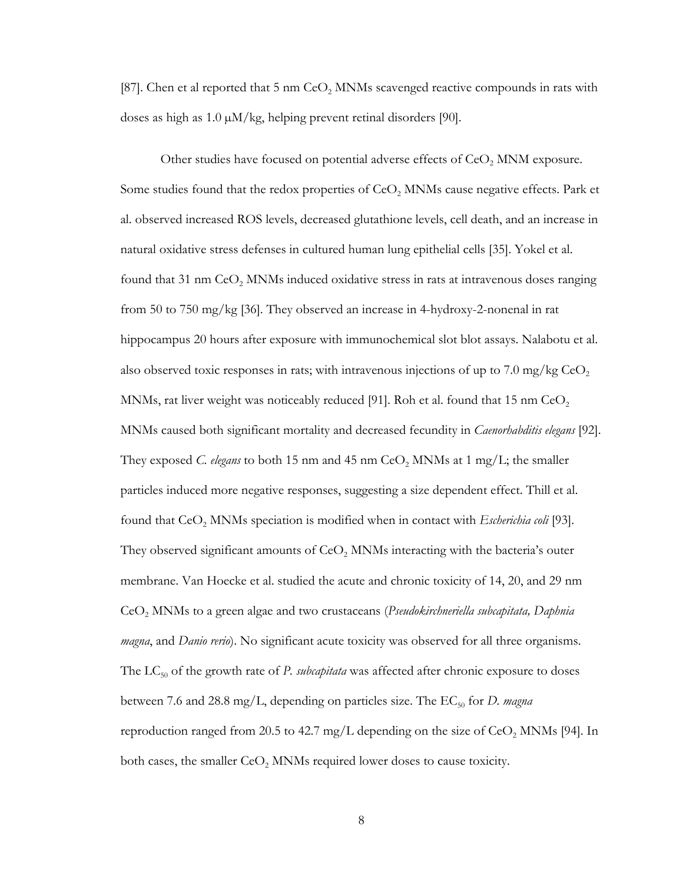[\[87\]](#page-51-4). Chen et al reported that 5 nm  $CeO<sub>2</sub>$  MNMs scavenged reactive compounds in rats with doses as high as  $1.0 \mu M/kg$ , helping prevent retinal disorders [\[90\]](#page-51-5).

Other studies have focused on potential adverse effects of  $CeO<sub>2</sub>$  MNM exposure. Some studies found that the redox properties of  $CeO<sub>2</sub>$  MNMs cause negative effects. Park et al. observed increased ROS levels, decreased glutathione levels, cell death, and an increase in natural oxidative stress defenses in cultured human lung epithelial cells [\[35\]](#page-48-15). Yokel et al. found that 31 nm  $CeO<sub>2</sub>$  MNMs induced oxidative stress in rats at intravenous doses ranging from 50 to 750 mg/kg [\[36\]](#page-48-16). They observed an increase in 4-hydroxy-2-nonenal in rat hippocampus 20 hours after exposure with immunochemical slot blot assays. Nalabotu et al. also observed toxic responses in rats; with intravenous injections of up to 7.0 mg/kg  $CeO$ , MNMs, rat liver weight was noticeably reduced [\[91\]](#page-51-6). Roh et al. found that 15 nm  $CeO<sub>2</sub>$ MNMs caused both significant mortality and decreased fecundity in *Caenorhabditis elegans* [\[92\]](#page-51-7). They exposed *C. elegans* to both 15 nm and 45 nm  $CeO$ , MNMs at 1 mg/L; the smaller particles induced more negative responses, suggesting a size dependent effect. Thill et al. found that CeO<sub>2</sub> MNMs speciation is modified when in contact with *Escherichia coli* [\[93\]](#page-51-8). They observed significant amounts of  $CeO<sub>2</sub>$  MNMs interacting with the bacteria's outer membrane. Van Hoecke et al. studied the acute and chronic toxicity of 14, 20, and 29 nm CeO2 MNMs to a green algae and two crustaceans (*Pseudokirchneriella subcapitata, Daphnia magna*, and *Danio rerio*). No significant acute toxicity was observed for all three organisms. The LC<sub>50</sub> of the growth rate of *P. subcapitata* was affected after chronic exposure to doses between 7.6 and 28.8 mg/L, depending on particles size. The EC<sub>50</sub> for *D. magna* reproduction ranged from 20.5 to 42.7 mg/L depending on the size of CeO<sub>2</sub> MNMs [\[94\]](#page-51-9). In both cases, the smaller  $CeO<sub>2</sub>$  MNMs required lower doses to cause toxicity.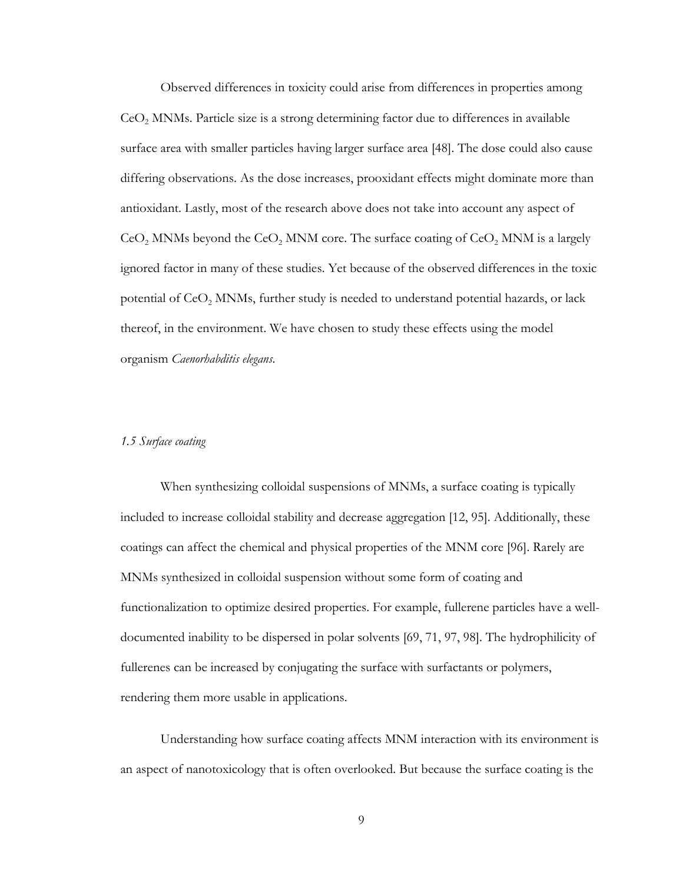Observed differences in toxicity could arise from differences in properties among  $Co<sub>2</sub>$  MNMs. Particle size is a strong determining factor due to differences in available surface area with smaller particles having larger surface area [\[48\]](#page-49-17). The dose could also cause differing observations. As the dose increases, prooxidant effects might dominate more than antioxidant. Lastly, most of the research above does not take into account any aspect of  $\text{CeO}_2$  MNMs beyond the  $\text{CeO}_2$  MNM core. The surface coating of  $\text{CeO}_2$  MNM is a largely ignored factor in many of these studies. Yet because of the observed differences in the toxic potential of  $CeO<sub>2</sub>$  MNMs, further study is needed to understand potential hazards, or lack thereof, in the environment. We have chosen to study these effects using the model organism *Caenorhabditis elegans*.

#### <span id="page-16-0"></span>*1.5 Surface coating*

When synthesizing colloidal suspensions of MNMs, a surface coating is typically included to increase colloidal stability and decrease aggregation [\[12,](#page-47-7) [95\]](#page-51-10). Additionally, these coatings can affect the chemical and physical properties of the MNM core [\[96\]](#page-51-11). Rarely are MNMs synthesized in colloidal suspension without some form of coating and functionalization to optimize desired properties. For example, fullerene particles have a welldocumented inability to be dispersed in polar solvents [\[69,](#page-50-8) [71,](#page-50-15) [97,](#page-51-12) [98\]](#page-51-13). The hydrophilicity of fullerenes can be increased by conjugating the surface with surfactants or polymers, rendering them more usable in applications.

Understanding how surface coating affects MNM interaction with its environment is an aspect of nanotoxicology that is often overlooked. But because the surface coating is the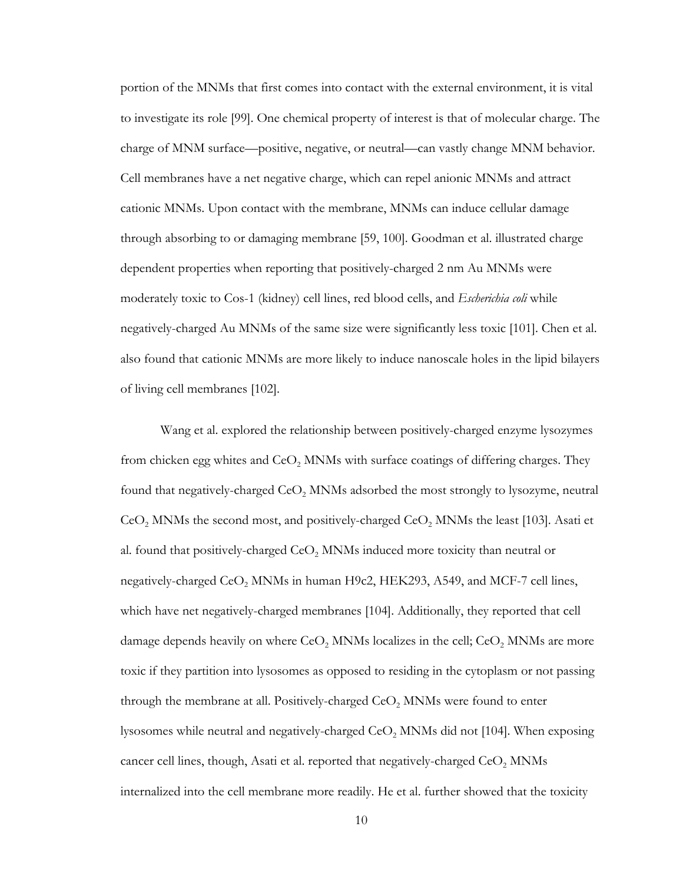portion of the MNMs that first comes into contact with the external environment, it is vital to investigate its role [\[99\]](#page-51-14). One chemical property of interest is that of molecular charge. The charge of MNM surface—positive, negative, or neutral—can vastly change MNM behavior. Cell membranes have a net negative charge, which can repel anionic MNMs and attract cationic MNMs. Upon contact with the membrane, MNMs can induce cellular damage through absorbing to or damaging membrane [\[59,](#page-50-16) [100\]](#page-52-0). Goodman et al. illustrated charge dependent properties when reporting that positively-charged 2 nm Au MNMs were moderately toxic to Cos-1 (kidney) cell lines, red blood cells, and *Escherichia coli* while negatively-charged Au MNMs of the same size were significantly less toxic [\[101\]](#page-52-1). Chen et al. also found that cationic MNMs are more likely to induce nanoscale holes in the lipid bilayers of living cell membranes [\[102\]](#page-52-2).

Wang et al. explored the relationship between positively-charged enzyme lysozymes from chicken egg whites and  $CeO<sub>2</sub>$  MNMs with surface coatings of differing charges. They found that negatively-charged  $CeO<sub>2</sub>$  MNMs adsorbed the most strongly to lysozyme, neutral  $\text{CeO}_2$  MNMs the second most, and positively-charged  $\text{CeO}_2$  MNMs the least [\[103\]](#page-52-3). Asati et al. found that positively-charged  $CeO<sub>2</sub>$  MNMs induced more toxicity than neutral or negatively-charged  $CeO<sub>2</sub>$  MNMs in human H9c2, HEK293, A549, and MCF-7 cell lines, which have net negatively-charged membranes [\[104\]](#page-52-4). Additionally, they reported that cell damage depends heavily on where  $\text{CeO}_2$  MNMs localizes in the cell;  $\text{CeO}_2$  MNMs are more toxic if they partition into lysosomes as opposed to residing in the cytoplasm or not passing through the membrane at all. Positively-charged  $CeO<sub>2</sub>$  MNMs were found to enter lysosomes while neutral and negatively-charged  $CeO$ ,  $MNMs$  did not [\[104\]](#page-52-4). When exposing cancer cell lines, though, Asati et al. reported that negatively-charged CeO<sub>2</sub> MNMs internalized into the cell membrane more readily. He et al. further showed that the toxicity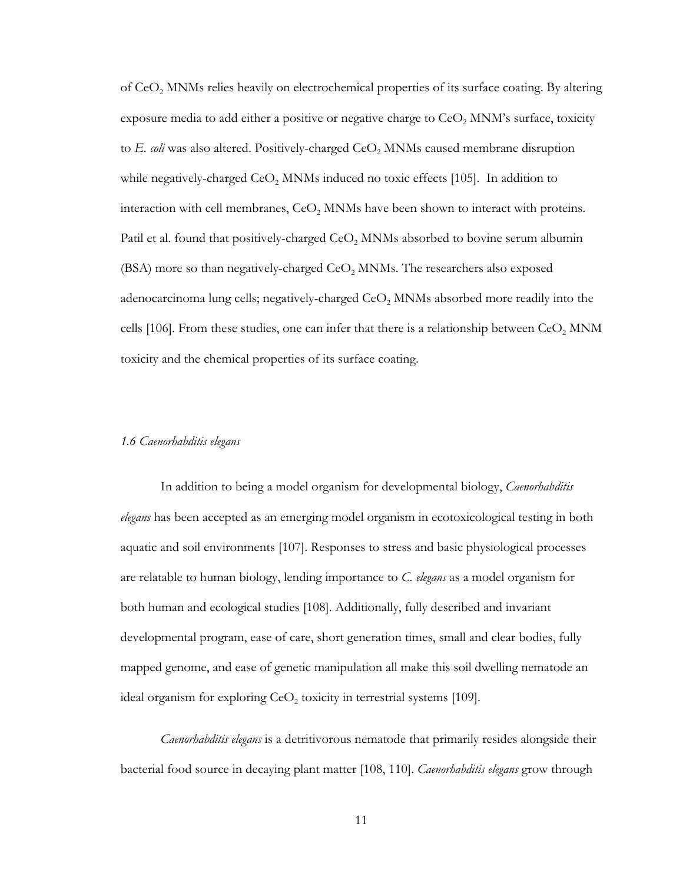of CeO<sub>2</sub> MNMs relies heavily on electrochemical properties of its surface coating. By altering exposure media to add either a positive or negative charge to  $\text{CeO}_2$  MNM's surface, toxicity to *E. coli* was also altered. Positively-charged CeO<sub>2</sub> MNMs caused membrane disruption while negatively-charged  $CeO<sub>2</sub>$  MNMs induced no toxic effects [\[105\]](#page-52-5). In addition to interaction with cell membranes, CeO<sub>2</sub> MNMs have been shown to interact with proteins. Patil et al. found that positively-charged  $CeO<sub>2</sub>$  MNMs absorbed to bovine serum albumin (BSA) more so than negatively-charged  $CeO<sub>2</sub>$  MNMs. The researchers also exposed adenocarcinoma lung cells; negatively-charged  $CeO<sub>2</sub>$  MNMs absorbed more readily into the cells [\[106\]](#page-52-6). From these studies, one can infer that there is a relationship between  $CeO<sub>2</sub>$  MNM toxicity and the chemical properties of its surface coating.

#### <span id="page-18-0"></span>*1.6 Caenorhabditis elegans*

In addition to being a model organism for developmental biology, *Caenorhabditis elegans* has been accepted as an emerging model organism in ecotoxicological testing in both aquatic and soil environments [\[107\]](#page-52-7). Responses to stress and basic physiological processes are relatable to human biology, lending importance to *C. elegans* as a model organism for both human and ecological studies [\[108\]](#page-52-8). Additionally, fully described and invariant developmental program, ease of care, short generation times, small and clear bodies, fully mapped genome, and ease of genetic manipulation all make this soil dwelling nematode an ideal organism for exploring  $CeO<sub>2</sub>$  toxicity in terrestrial systems [\[109\]](#page-52-9).

*Caenorhabditis elegans* is a detritivorous nematode that primarily resides alongside their bacterial food source in decaying plant matter [\[108,](#page-52-8) [110\]](#page-52-10). *Caenorhabditis elegans* grow through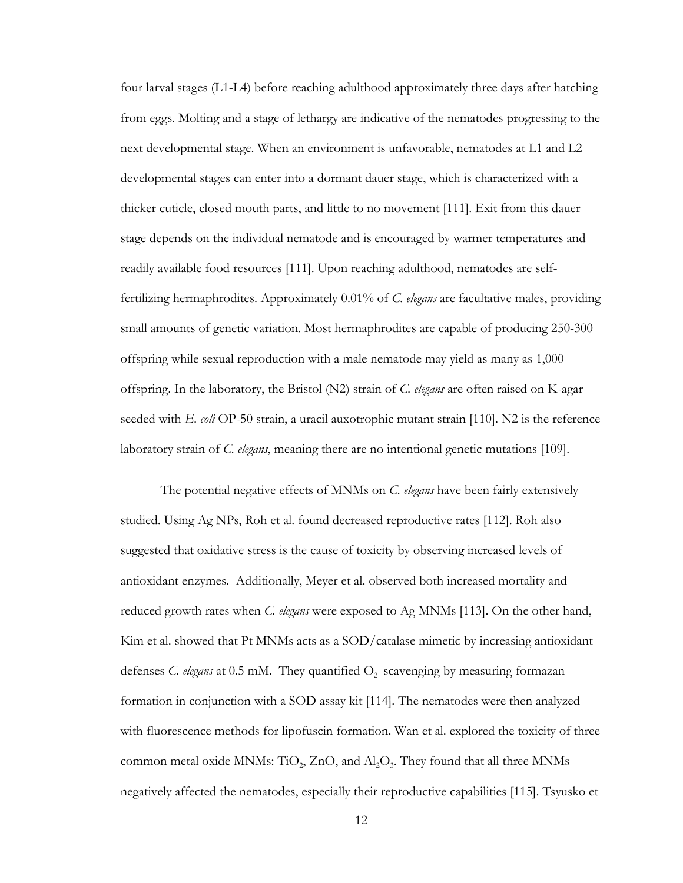four larval stages (L1-L4) before reaching adulthood approximately three days after hatching from eggs. Molting and a stage of lethargy are indicative of the nematodes progressing to the next developmental stage. When an environment is unfavorable, nematodes at L1 and L2 developmental stages can enter into a dormant dauer stage, which is characterized with a thicker cuticle, closed mouth parts, and little to no movement [\[111\]](#page-52-11). Exit from this dauer stage depends on the individual nematode and is encouraged by warmer temperatures and readily available food resources [\[111\]](#page-52-11). Upon reaching adulthood, nematodes are selffertilizing hermaphrodites. Approximately 0.01% of *C. elegans* are facultative males, providing small amounts of genetic variation. Most hermaphrodites are capable of producing 250-300 offspring while sexual reproduction with a male nematode may yield as many as 1,000 offspring. In the laboratory, the Bristol (N2) strain of *C. elegans* are often raised on K-agar seeded with *E. coli* OP-50 strain, a uracil auxotrophic mutant strain [\[110\]](#page-52-10). N2 is the reference laboratory strain of *C. elegans*, meaning there are no intentional genetic mutations [\[109\]](#page-52-9).

The potential negative effects of MNMs on *C. elegans* have been fairly extensively studied. Using Ag NPs, Roh et al. found decreased reproductive rates [\[112\]](#page-52-12). Roh also suggested that oxidative stress is the cause of toxicity by observing increased levels of antioxidant enzymes. Additionally, Meyer et al. observed both increased mortality and reduced growth rates when *C. elegans* were exposed to Ag MNMs [\[113\]](#page-52-13). On the other hand, Kim et al. showed that Pt MNMs acts as a SOD/catalase mimetic by increasing antioxidant defenses *C. elegans* at 0.5 mM. They quantified  $O_2$  scavenging by measuring formazan formation in conjunction with a SOD assay kit [\[114\]](#page-52-14). The nematodes were then analyzed with fluorescence methods for lipofuscin formation. Wan et al. explored the toxicity of three common metal oxide MNMs: TiO<sub>2</sub>, ZnO, and  $A<sub>1</sub>O<sub>3</sub>$ . They found that all three MNMs negatively affected the nematodes, especially their reproductive capabilities [\[115\]](#page-52-15). Tsyusko et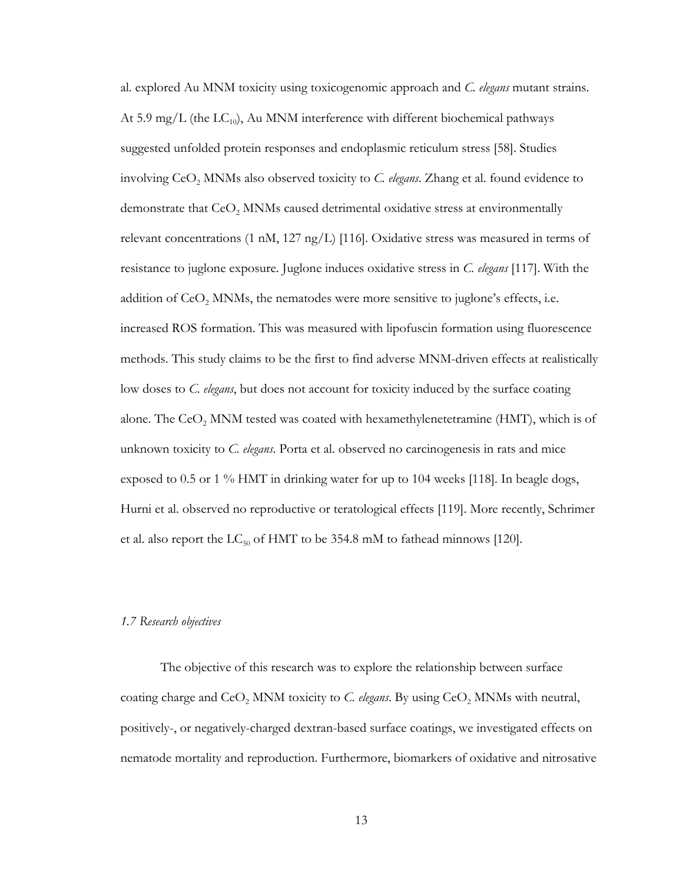al. explored Au MNM toxicity using toxicogenomic approach and *C. elegans* mutant strains. At 5.9 mg/L (the  $LC_{10}$ ), Au MNM interference with different biochemical pathways suggested unfolded protein responses and endoplasmic reticulum stress [\[58\]](#page-49-16). Studies involving CeO<sub>2</sub> MNMs also observed toxicity to *C. elegans*. Zhang et al. found evidence to demonstrate that  $CeO<sub>2</sub>$  MNMs caused detrimental oxidative stress at environmentally relevant concentrations (1 nM, 127 ng/L) [\[116\]](#page-52-16). Oxidative stress was measured in terms of resistance to juglone exposure. Juglone induces oxidative stress in *C. elegans* [\[117\]](#page-52-17). With the addition of  $CeO<sub>2</sub>$  MNMs, the nematodes were more sensitive to juglone's effects, i.e. increased ROS formation. This was measured with lipofuscin formation using fluorescence methods. This study claims to be the first to find adverse MNM-driven effects at realistically low doses to *C. elegans*, but does not account for toxicity induced by the surface coating alone. The  $CeO<sub>2</sub>$  MNM tested was coated with hexamethylenetetramine (HMT), which is of unknown toxicity to *C. elegans*. Porta et al. observed no carcinogenesis in rats and mice exposed to 0.5 or 1 % HMT in drinking water for up to 104 weeks [\[118\]](#page-52-18). In beagle dogs, Hurni et al. observed no reproductive or teratological effects [\[119\]](#page-52-19). More recently, Schrimer et al. also report the  $LC_{50}$  of HMT to be 354.8 mM to fathead minnows [\[120\]](#page-53-0).

#### <span id="page-20-0"></span>*1.7 Research objectives*

The objective of this research was to explore the relationship between surface coating charge and  $CeO<sub>2</sub>$  MNM toxicity to *C. elegans*. By using  $CeO<sub>2</sub>$  MNMs with neutral, positively-, or negatively-charged dextran-based surface coatings, we investigated effects on nematode mortality and reproduction. Furthermore, biomarkers of oxidative and nitrosative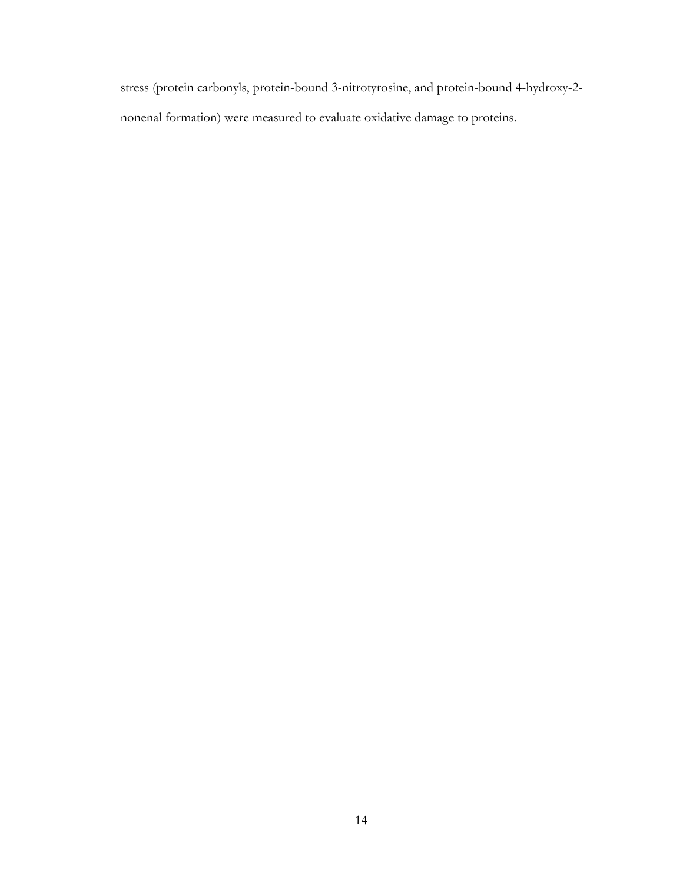stress (protein carbonyls, protein-bound 3-nitrotyrosine, and protein-bound 4-hydroxy-2 nonenal formation) were measured to evaluate oxidative damage to proteins.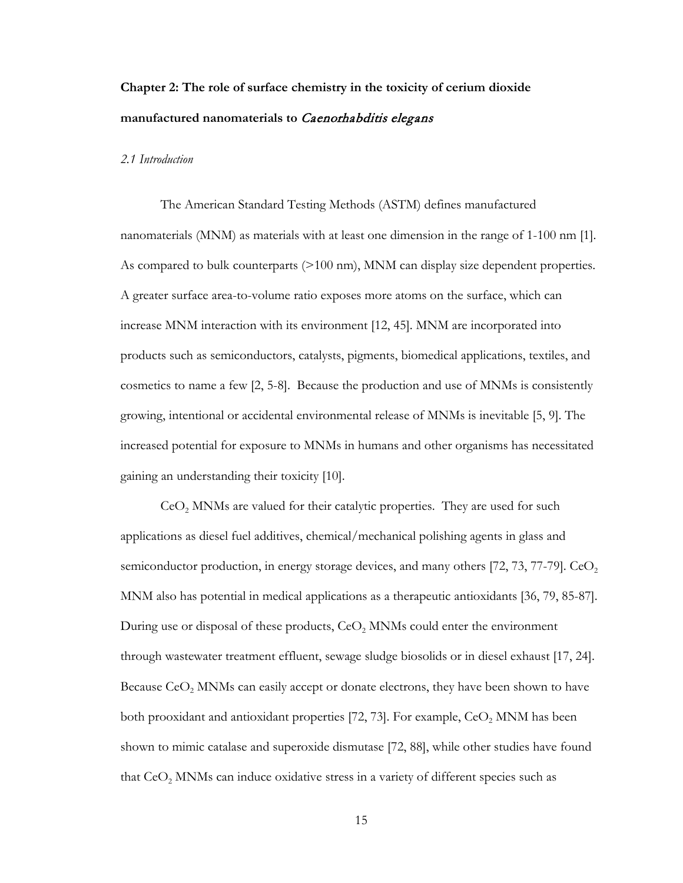## <span id="page-22-0"></span>**Chapter 2: The role of surface chemistry in the toxicity of cerium dioxide manufactured nanomaterials to** Caenorhabditis elegans

#### <span id="page-22-1"></span>*2.1 Introduction*

The American Standard Testing Methods (ASTM) defines manufactured nanomaterials (MNM) as materials with at least one dimension in the range of 1-100 nm [\[1\]](#page-47-1). As compared to bulk counterparts (>100 nm), MNM can display size dependent properties. A greater surface area-to-volume ratio exposes more atoms on the surface, which can increase MNM interaction with its environment [\[12,](#page-47-7) [45\]](#page-49-5). MNM are incorporated into products such as semiconductors, catalysts, pigments, biomedical applications, textiles, and cosmetics to name a few [\[2,](#page-47-2) [5-8\]](#page-47-3). Because the production and use of MNMs is consistently growing, intentional or accidental environmental release of MNMs is inevitable [\[5,](#page-47-3) [9\]](#page-47-4). The increased potential for exposure to MNMs in humans and other organisms has necessitated gaining an understanding their toxicity [\[10\]](#page-47-5).

 $CeO<sub>2</sub>$  MNMs are valued for their catalytic properties. They are used for such applications as diesel fuel additives, chemical/mechanical polishing agents in glass and semiconductor production, in energy storage devices, and many others  $[72, 73, 77-79]$  $[72, 73, 77-79]$  $[72, 73, 77-79]$ . CeO<sub>2</sub> MNM also has potential in medical applications as a therapeutic antioxidants [\[36,](#page-48-16) [79,](#page-50-17) [85-87\]](#page-51-1). During use or disposal of these products,  $CeO<sub>2</sub>$  MNMs could enter the environment through wastewater treatment effluent, sewage sludge biosolids or in diesel exhaust [\[17,](#page-47-12) [24\]](#page-48-4). Because  $\text{CeO}_2$  MNMs can easily accept or donate electrons, they have been shown to have both prooxidant and antioxidant properties [\[72,](#page-50-9) [73\]](#page-50-10). For example,  $CeO<sub>2</sub>$  MNM has been shown to mimic catalase and superoxide dismutase [\[72,](#page-50-9) [88\]](#page-51-2), while other studies have found that  $CeO<sub>2</sub>$  MNMs can induce oxidative stress in a variety of different species such as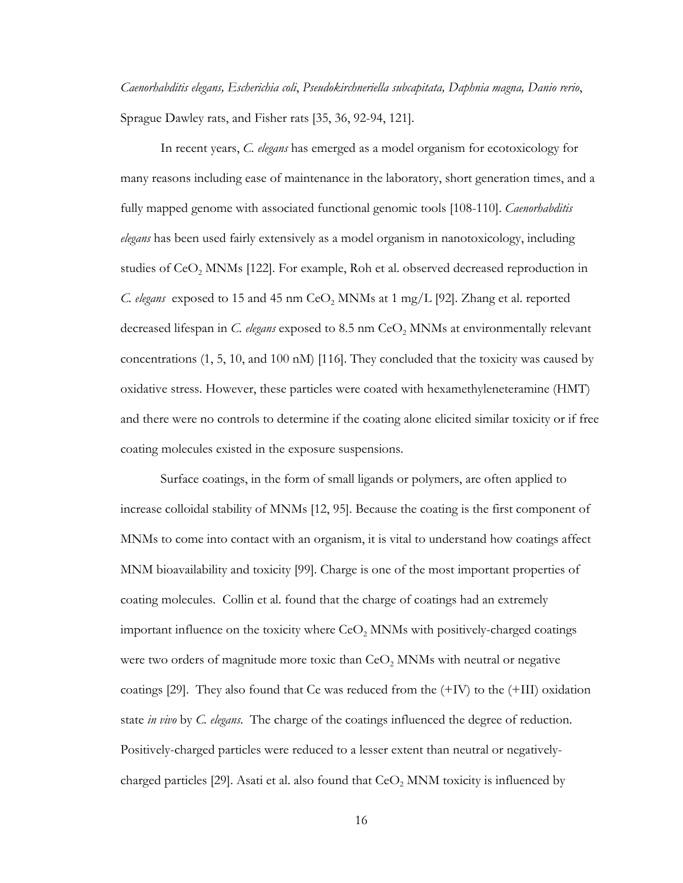*Caenorhabditis elegans, Escherichia coli*, *Pseudokirchneriella subcapitata, Daphnia magna, Danio rerio*, Sprague Dawley rats, and Fisher rats [\[35,](#page-48-15) [36,](#page-48-16) [92-94,](#page-51-7) [121\]](#page-53-1).

In recent years, *C. elegans* has emerged as a model organism for ecotoxicology for many reasons including ease of maintenance in the laboratory, short generation times, and a fully mapped genome with associated functional genomic tools [\[108-110\]](#page-52-8). *Caenorhabditis elegans* has been used fairly extensively as a model organism in nanotoxicology, including studies of  $CeO<sub>2</sub>$  MNMs [\[122\]](#page-53-2). For example, Roh et al. observed decreased reproduction in *C. elegans* exposed to 15 and 45 nm CeO<sub>2</sub> MNMs at 1 mg/L [\[92\]](#page-51-7). Zhang et al. reported decreased lifespan in *C. elegans* exposed to 8.5 nm CeO<sub>2</sub> MNMs at environmentally relevant concentrations (1, 5, 10, and 100 nM) [\[116\]](#page-52-16). They concluded that the toxicity was caused by oxidative stress. However, these particles were coated with hexamethyleneteramine (HMT) and there were no controls to determine if the coating alone elicited similar toxicity or if free coating molecules existed in the exposure suspensions.

Surface coatings, in the form of small ligands or polymers, are often applied to increase colloidal stability of MNMs [\[12,](#page-47-7) [95\]](#page-51-10). Because the coating is the first component of MNMs to come into contact with an organism, it is vital to understand how coatings affect MNM bioavailability and toxicity [\[99\]](#page-51-14). Charge is one of the most important properties of coating molecules. Collin et al. found that the charge of coatings had an extremely important influence on the toxicity where  $CeO<sub>2</sub>$  MNMs with positively-charged coatings were two orders of magnitude more toxic than  $CeO<sub>2</sub>$  MNMs with neutral or negative coatings [\[29\]](#page-48-9). They also found that Ce was reduced from the (+IV) to the (+III) oxidation state *in vivo* by *C. elegans*. The charge of the coatings influenced the degree of reduction. Positively-charged particles were reduced to a lesser extent than neutral or negatively-charged particles [\[29\]](#page-48-9). Asati et al. also found that  $CeO<sub>2</sub>$  MNM toxicity is influenced by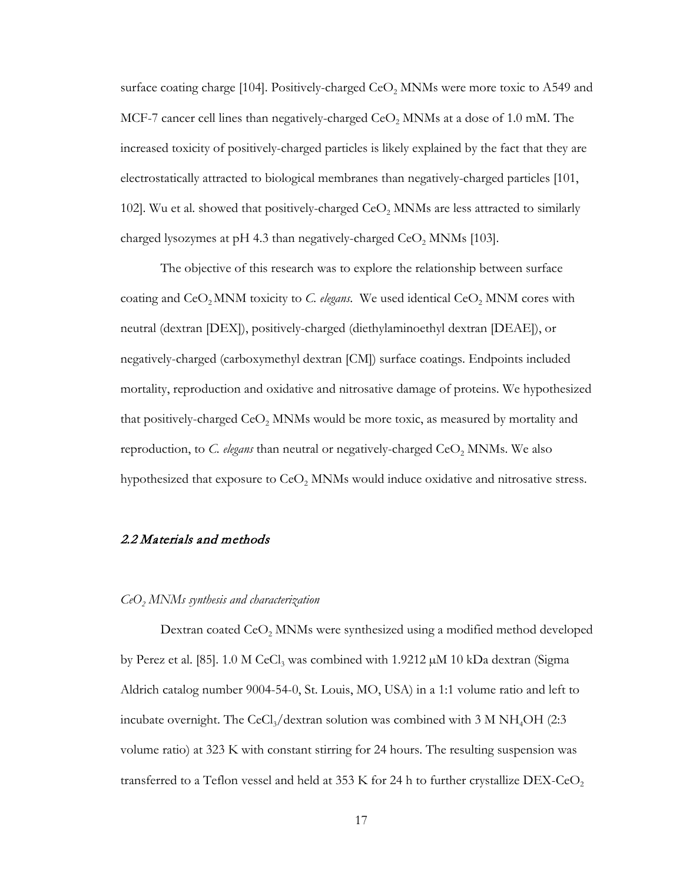surface coating charge [\[104\]](#page-52-4). Positively-charged  $CeO<sub>2</sub>$  MNMs were more toxic to A549 and MCF-7 cancer cell lines than negatively-charged  $CeO<sub>2</sub>$  MNMs at a dose of 1.0 mM. The increased toxicity of positively-charged particles is likely explained by the fact that they are electrostatically attracted to biological membranes than negatively-charged particles [\[101,](#page-52-1) [102\]](#page-52-2). Wu et al. showed that positively-charged  $CeO<sub>2</sub>$  MNMs are less attracted to similarly charged lysozymes at pH 4.3 than negatively-charged  $\text{CeO}_2$  MNMs [\[103\]](#page-52-3).

The objective of this research was to explore the relationship between surface coating and  $CeO<sub>2</sub>$  MNM toxicity to *C. elegans*. We used identical  $CeO<sub>2</sub>$  MNM cores with neutral (dextran [DEX]), positively-charged (diethylaminoethyl dextran [DEAE]), or negatively-charged (carboxymethyl dextran [CM]) surface coatings. Endpoints included mortality, reproduction and oxidative and nitrosative damage of proteins. We hypothesized that positively-charged  $CeO<sub>2</sub>$  MNMs would be more toxic, as measured by mortality and reproduction, to *C. elegans* than neutral or negatively-charged CeO<sub>2</sub> MNMs. We also hypothesized that exposure to  $CoO<sub>2</sub>$  MNMs would induce oxidative and nitrosative stress.

#### <span id="page-24-0"></span>2.2 Materials and methods

#### *CeO2 MNMs synthesis and characterization*

Dextran coated  $CeO<sub>2</sub>$  MNMs were synthesized using a modified method developed by Perez et al. [\[85\]](#page-51-1). 1.0 M CeCl<sub>3</sub> was combined with  $1.9212 \mu M$  10 kDa dextran (Sigma Aldrich catalog number 9004-54-0, St. Louis, MO, USA) in a 1:1 volume ratio and left to incubate overnight. The CeCl<sub>3</sub>/dextran solution was combined with  $3 \text{ M} \text{NH}_4\text{OH}$  (2:3) volume ratio) at 323 K with constant stirring for 24 hours. The resulting suspension was transferred to a Teflon vessel and held at 353 K for 24 h to further crystallize  $DEX$ -CeO<sub>2</sub>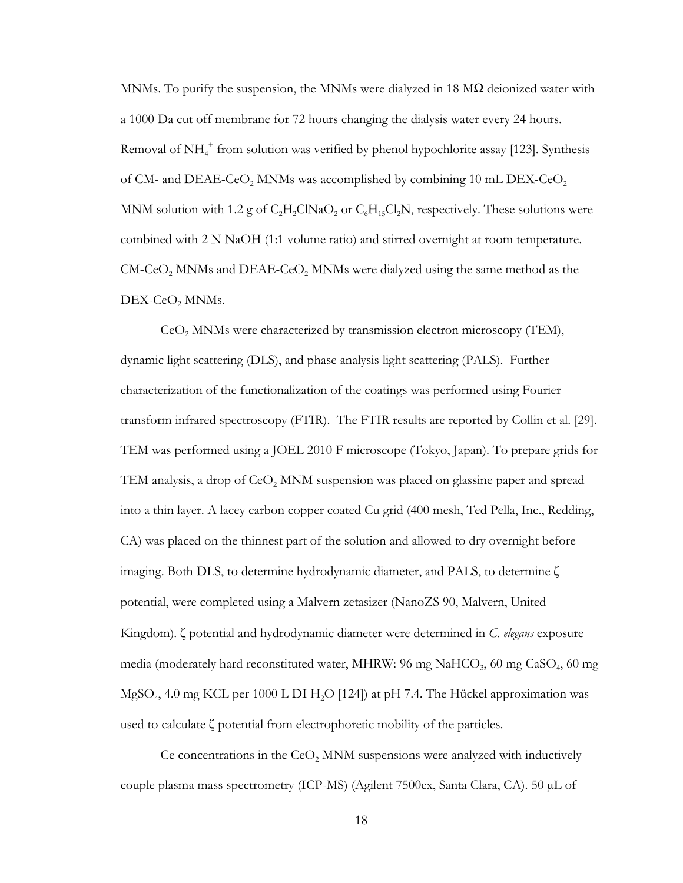MNMs. To purify the suspension, the MNMs were dialyzed in 18  $\text{M}\Omega$  deionized water with a 1000 Da cut off membrane for 72 hours changing the dialysis water every 24 hours. Removal of NH<sub>4</sub><sup>+</sup> from solution was verified by phenol hypochlorite assay [\[123\]](#page-53-3). Synthesis of CM- and DEAE-CeO<sub>2</sub> MNMs was accomplished by combining 10 mL DEX-CeO<sub>2</sub> MNM solution with 1.2 g of  $C_2H_2CINaO_2$  or  $C_6H_1C_2N$ , respectively. These solutions were combined with 2 N NaOH (1:1 volume ratio) and stirred overnight at room temperature.  $CM$ -CeO<sub>2</sub> MNMs and DEAE-CeO<sub>2</sub> MNMs were dialyzed using the same method as the  $DEX-CeO<sub>2</sub>$  MNMs.

 $\text{CeO}_2$  MNMs were characterized by transmission electron microscopy (TEM), dynamic light scattering (DLS), and phase analysis light scattering (PALS). Further characterization of the functionalization of the coatings was performed using Fourier transform infrared spectroscopy (FTIR). The FTIR results are reported by Collin et al. [\[29\]](#page-48-9). TEM was performed using a JOEL 2010 F microscope (Tokyo, Japan). To prepare grids for TEM analysis, a drop of  $CeO<sub>2</sub>$  MNM suspension was placed on glassine paper and spread into a thin layer. A lacey carbon copper coated Cu grid (400 mesh, Ted Pella, Inc., Redding, CA) was placed on the thinnest part of the solution and allowed to dry overnight before imaging. Both DLS, to determine hydrodynamic diameter, and PALS, to determine ζ potential, were completed using a Malvern zetasizer (NanoZS 90, Malvern, United Kingdom). ζ potential and hydrodynamic diameter were determined in *C. elegans* exposure media (moderately hard reconstituted water, MHRW: 96 mg NaHCO<sub>3</sub>, 60 mg CaSO<sub>4</sub>, 60 mg  $MgSO<sub>4</sub>$ , 4.0 mg KCL per 1000 L DI H<sub>2</sub>O [\[124\]](#page-53-4)) at pH 7.4. The Hückel approximation was used to calculate ζ potential from electrophoretic mobility of the particles.

Ce concentrations in the  $CeO<sub>2</sub>$  MNM suspensions were analyzed with inductively couple plasma mass spectrometry (ICP-MS) (Agilent 7500cx, Santa Clara, CA). 50  $\mu$ L of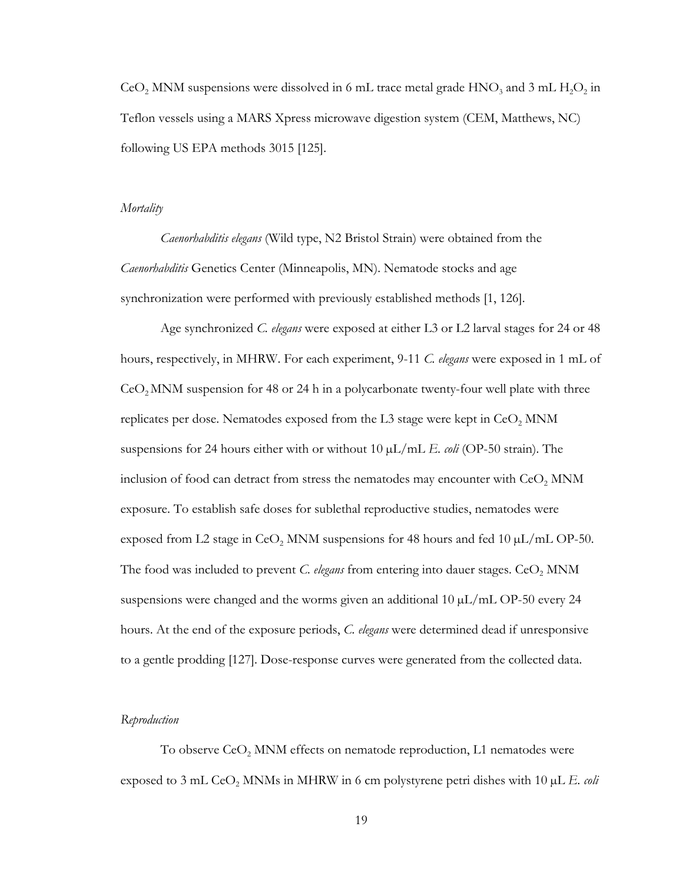CeO<sub>2</sub> MNM suspensions were dissolved in 6 mL trace metal grade  $HNO_3$  and 3 mL  $H_2O_2$  in Teflon vessels using a MARS Xpress microwave digestion system (CEM, Matthews, NC) following US EPA methods 3015 [\[125\]](#page-53-5).

#### *Mortality*

*Caenorhabditis elegans* (Wild type, N2 Bristol Strain) were obtained from the *Caenorhabditis* Genetics Center (Minneapolis, MN). Nematode stocks and age synchronization were performed with previously established methods [\[1,](#page-47-1) [126\]](#page-53-6).

Age synchronized *C. elegans* were exposed at either L3 or L2 larval stages for 24 or 48 hours, respectively, in MHRW. For each experiment, 9-11 *C. elegans* were exposed in 1 mL of  $CeO<sub>2</sub>$ MNM suspension for 48 or 24 h in a polycarbonate twenty-four well plate with three replicates per dose. Nematodes exposed from the L3 stage were kept in  $CeO<sub>2</sub>$  MNM suspensions for 24 hours either with or without 10 µL/mL *E. coli* (OP-50 strain). The inclusion of food can detract from stress the nematodes may encounter with  $CeO<sub>2</sub>$  MNM exposure. To establish safe doses for sublethal reproductive studies, nematodes were exposed from L2 stage in CeO<sub>2</sub> MNM suspensions for 48 hours and fed 10  $\mu$ L/mL OP-50. The food was included to prevent  $C$ . elegans from entering into dauer stages.  $CeO<sub>2</sub>$  MNM suspensions were changed and the worms given an additional  $10 \mu L/mL$  OP-50 every 24 hours. At the end of the exposure periods, *C. elegans* were determined dead if unresponsive to a gentle prodding [\[127\]](#page-53-7). Dose-response curves were generated from the collected data.

#### *Reproduction*

To observe  $CeO<sub>2</sub>$  MNM effects on nematode reproduction, L1 nematodes were exposed to 3 mL  $CeO<sub>2</sub>$  MNMs in MHRW in 6 cm polystyrene petri dishes with 10  $\mu$ L *E. coli*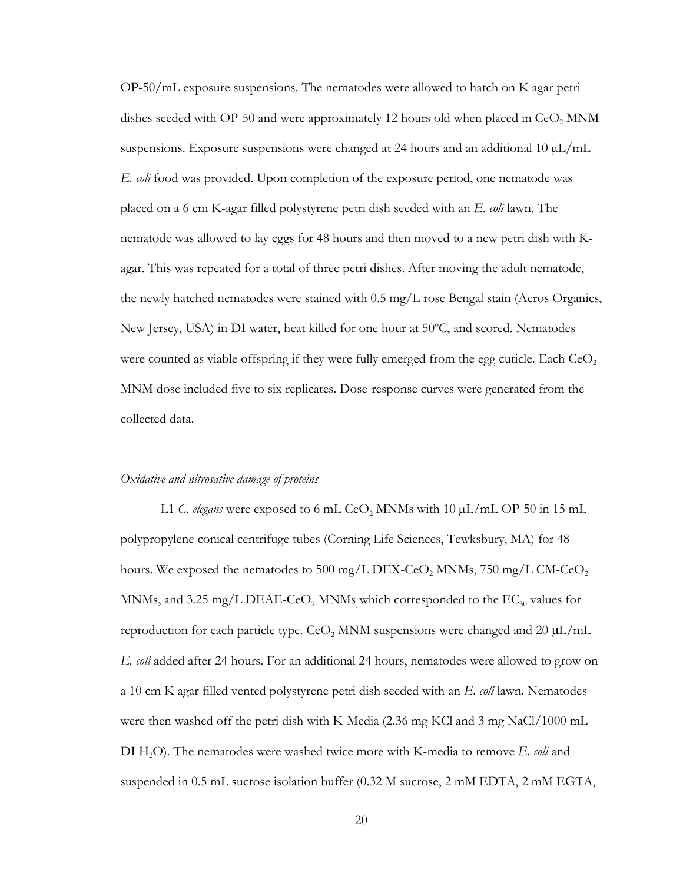OP-50/mL exposure suspensions. The nematodes were allowed to hatch on K agar petri dishes seeded with OP-50 and were approximately 12 hours old when placed in  $CeO<sub>2</sub>$  MNM suspensions. Exposure suspensions were changed at 24 hours and an additional 10  $\mu$ L/mL *E. coli* food was provided. Upon completion of the exposure period, one nematode was placed on a 6 cm K-agar filled polystyrene petri dish seeded with an *E. coli* lawn. The nematode was allowed to lay eggs for 48 hours and then moved to a new petri dish with Kagar. This was repeated for a total of three petri dishes. After moving the adult nematode, the newly hatched nematodes were stained with  $0.5 \text{ mg/L}$  rose Bengal stain (Acros Organics, New Jersey, USA) in DI water, heat killed for one hour at 50°C, and scored. Nematodes were counted as viable offspring if they were fully emerged from the egg cuticle. Each  $CeO<sub>2</sub>$ MNM dose included five to six replicates. Dose-response curves were generated from the collected data.

#### *Oxidative and nitrosative damage of proteins*

L1 *C. elegans* were exposed to 6 mL CeO<sub>2</sub> MNMs with 10  $\mu$ L/mL OP-50 in 15 mL polypropylene conical centrifuge tubes (Corning Life Sciences, Tewksbury, MA) for 48 hours. We exposed the nematodes to 500 mg/L DEX-CeO<sub>2</sub> MNMs, 750 mg/L CM-CeO<sub>2</sub> MNMs, and 3.25 mg/L DEAE-CeO<sub>2</sub> MNMs which corresponded to the  $EC_{30}$  values for reproduction for each particle type.  $\text{CeO}_2$  MNM suspensions were changed and 20  $\mu\text{L/mL}$ *E. coli* added after 24 hours. For an additional 24 hours, nematodes were allowed to grow on a 10 cm K agar filled vented polystyrene petri dish seeded with an *E. coli* lawn. Nematodes were then washed off the petri dish with K-Media (2.36 mg KCl and 3 mg NaCl/1000 mL DI H2O). The nematodes were washed twice more with K-media to remove *E. coli* and suspended in 0.5 mL sucrose isolation buffer (0.32 M sucrose, 2 mM EDTA, 2 mM EGTA,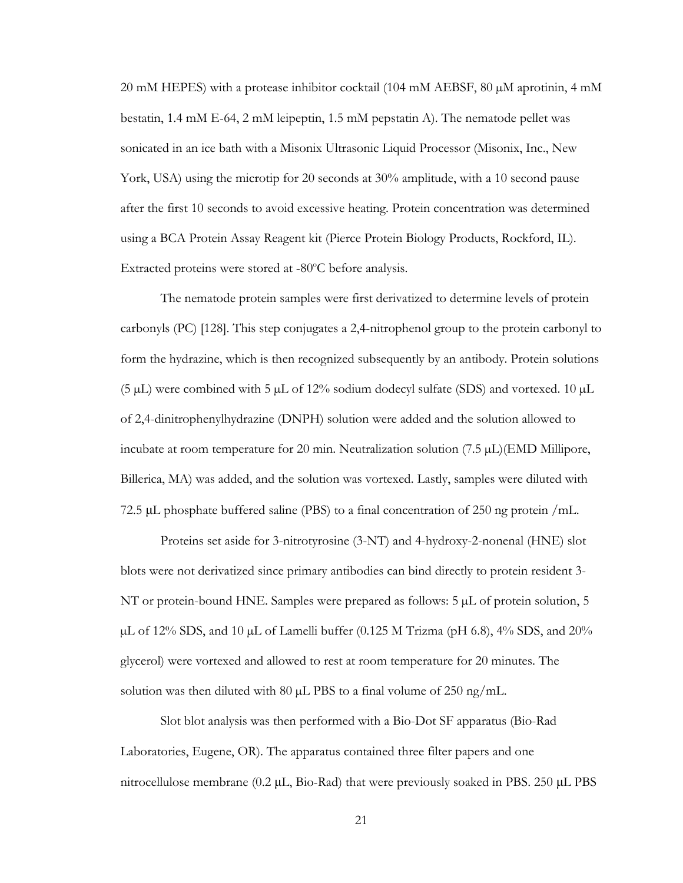20 mM HEPES) with a protease inhibitor cocktail (104 mM AEBSF, 80 µM aprotinin, 4 mM bestatin, 1.4 mM E-64, 2 mM leipeptin, 1.5 mM pepstatin A). The nematode pellet was sonicated in an ice bath with a Misonix Ultrasonic Liquid Processor (Misonix, Inc., New York, USA) using the microtip for 20 seconds at 30% amplitude, with a 10 second pause after the first 10 seconds to avoid excessive heating. Protein concentration was determined using a BCA Protein Assay Reagent kit (Pierce Protein Biology Products, Rockford, IL). Extracted proteins were stored at -80°C before analysis.

The nematode protein samples were first derivatized to determine levels of protein carbonyls (PC) [\[128\]](#page-53-8). This step conjugates a 2,4-nitrophenol group to the protein carbonyl to form the hydrazine, which is then recognized subsequently by an antibody. Protein solutions (5  $\mu$ L) were combined with 5  $\mu$ L of 12% sodium dodecyl sulfate (SDS) and vortexed. 10  $\mu$ L of 2,4-dinitrophenylhydrazine (DNPH) solution were added and the solution allowed to incubate at room temperature for 20 min. Neutralization solution (7.5 µL)(EMD Millipore, Billerica, MA) was added, and the solution was vortexed. Lastly, samples were diluted with 72.5 μL phosphate buffered saline (PBS) to a final concentration of 250 ng protein /mL.

Proteins set aside for 3-nitrotyrosine (3-NT) and 4-hydroxy-2-nonenal (HNE) slot blots were not derivatized since primary antibodies can bind directly to protein resident 3- NT or protein-bound HNE. Samples were prepared as follows: 5 µL of protein solution, 5  $\mu$ L of 12% SDS, and 10  $\mu$ L of Lamelli buffer (0.125 M Trizma (pH 6.8), 4% SDS, and 20% glycerol) were vortexed and allowed to rest at room temperature for 20 minutes. The solution was then diluted with 80  $\mu$ L PBS to a final volume of 250 ng/mL.

Slot blot analysis was then performed with a Bio-Dot SF apparatus (Bio-Rad Laboratories, Eugene, OR). The apparatus contained three filter papers and one nitrocellulose membrane (0.2 μL, Bio-Rad) that were previously soaked in PBS. 250 μL PBS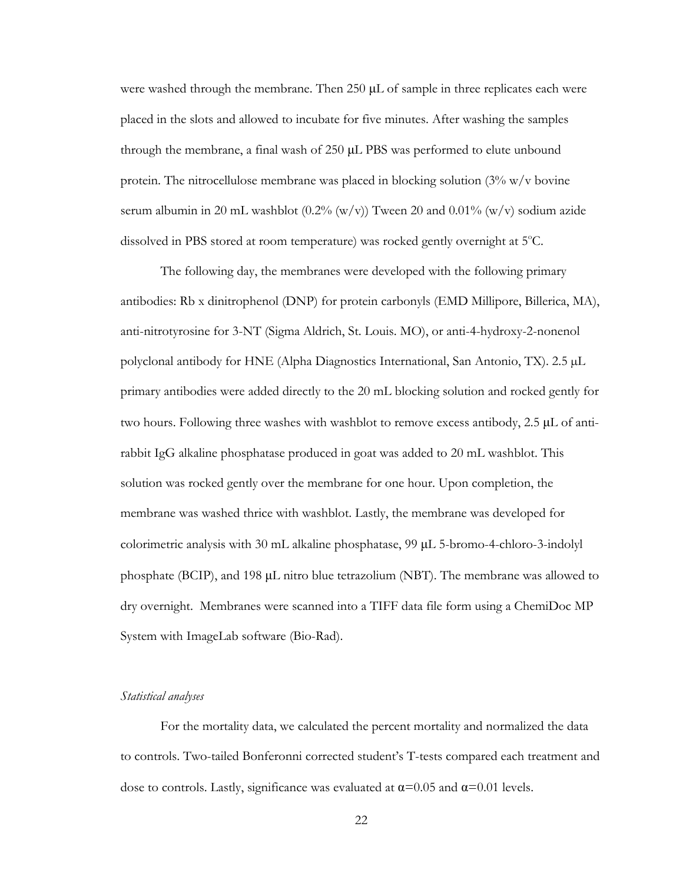were washed through the membrane. Then 250 μL of sample in three replicates each were placed in the slots and allowed to incubate for five minutes. After washing the samples through the membrane, a final wash of 250 μL PBS was performed to elute unbound protein. The nitrocellulose membrane was placed in blocking solution  $(3\% \text{ w/v}$  bovine serum albumin in 20 mL washblot  $(0.2\% (w/v))$  Tween 20 and  $0.01\% (w/v)$  sodium azide dissolved in PBS stored at room temperature) was rocked gently overnight at 5°C.

The following day, the membranes were developed with the following primary antibodies: Rb x dinitrophenol (DNP) for protein carbonyls (EMD Millipore, Billerica, MA), anti-nitrotyrosine for 3-NT (Sigma Aldrich, St. Louis. MO), or anti-4-hydroxy-2-nonenol polyclonal antibody for HNE (Alpha Diagnostics International, San Antonio, TX). 2.5 µL primary antibodies were added directly to the 20 mL blocking solution and rocked gently for two hours. Following three washes with washblot to remove excess antibody, 2.5 μL of antirabbit IgG alkaline phosphatase produced in goat was added to 20 mL washblot. This solution was rocked gently over the membrane for one hour. Upon completion, the membrane was washed thrice with washblot. Lastly, the membrane was developed for colorimetric analysis with 30 mL alkaline phosphatase, 99 μL 5-bromo-4-chloro-3-indolyl phosphate (BCIP), and 198 μL nitro blue tetrazolium (NBT). The membrane was allowed to dry overnight. Membranes were scanned into a TIFF data file form using a ChemiDoc MP System with ImageLab software (Bio-Rad).

#### *Statistical analyses*

For the mortality data, we calculated the percent mortality and normalized the data to controls. Two-tailed Bonferonni corrected student's T-tests compared each treatment and dose to controls. Lastly, significance was evaluated at  $\alpha$ =0.05 and  $\alpha$ =0.01 levels.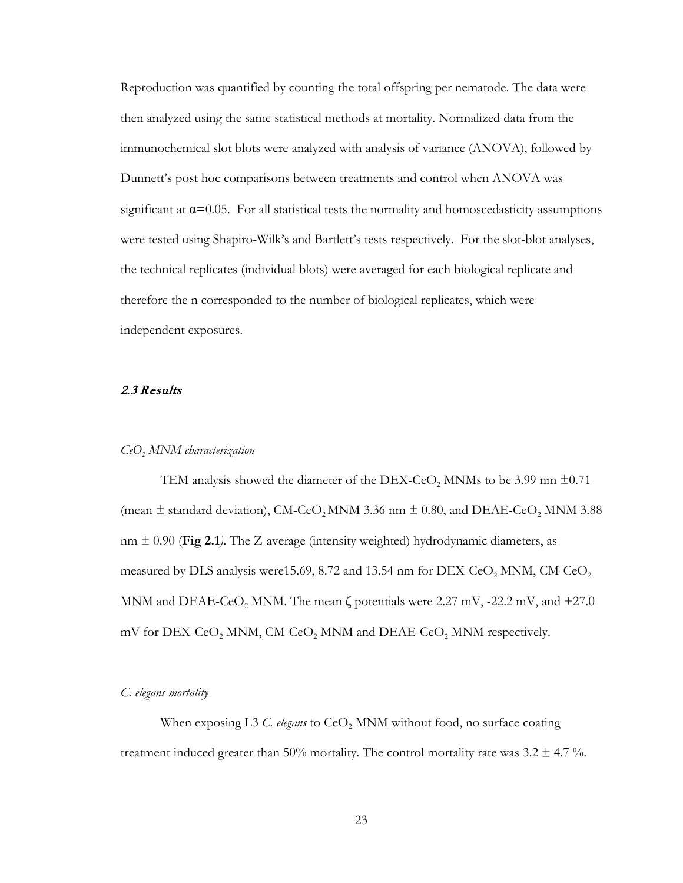Reproduction was quantified by counting the total offspring per nematode. The data were then analyzed using the same statistical methods at mortality. Normalized data from the immunochemical slot blots were analyzed with analysis of variance (ANOVA), followed by Dunnett's post hoc comparisons between treatments and control when ANOVA was significant at  $\alpha$ =0.05. For all statistical tests the normality and homoscedasticity assumptions were tested using Shapiro-Wilk's and Bartlett's tests respectively. For the slot-blot analyses, the technical replicates (individual blots) were averaged for each biological replicate and therefore the n corresponded to the number of biological replicates, which were independent exposures.

#### <span id="page-30-0"></span>2.3 Results

#### *CeO2 MNM characterization*

TEM analysis showed the diameter of the DEX-CeO<sub>2</sub> MNMs to be 3.99 nm  $\pm 0.71$ (mean  $\pm$  standard deviation), CM-CeO<sub>2</sub> MNM 3.36 nm  $\pm$  0.80, and DEAE-CeO<sub>2</sub> MNM 3.88 nm  $\pm$  0.90 (Fig 2.1). The Z-average (intensity weighted) hydrodynamic diameters, as measured by DLS analysis were 15.69, 8.72 and 13.54 nm for  $DEX-CeO<sub>2</sub>$  MNM,  $CM-CeO<sub>2</sub>$ MNM and DEAE-CeO<sub>2</sub> MNM. The mean  $\zeta$  potentials were 2.27 mV, -22.2 mV, and +27.0 mV for DEX-CeO<sub>2</sub> MNM, CM-CeO<sub>2</sub> MNM and DEAE-CeO<sub>2</sub> MNM respectively.

*C. elegans mortality* 

When exposing L3 *C. elegans* to CeO<sub>2</sub> MNM without food, no surface coating treatment induced greater than 50% mortality. The control mortality rate was 3.2  $\pm$  4.7 %.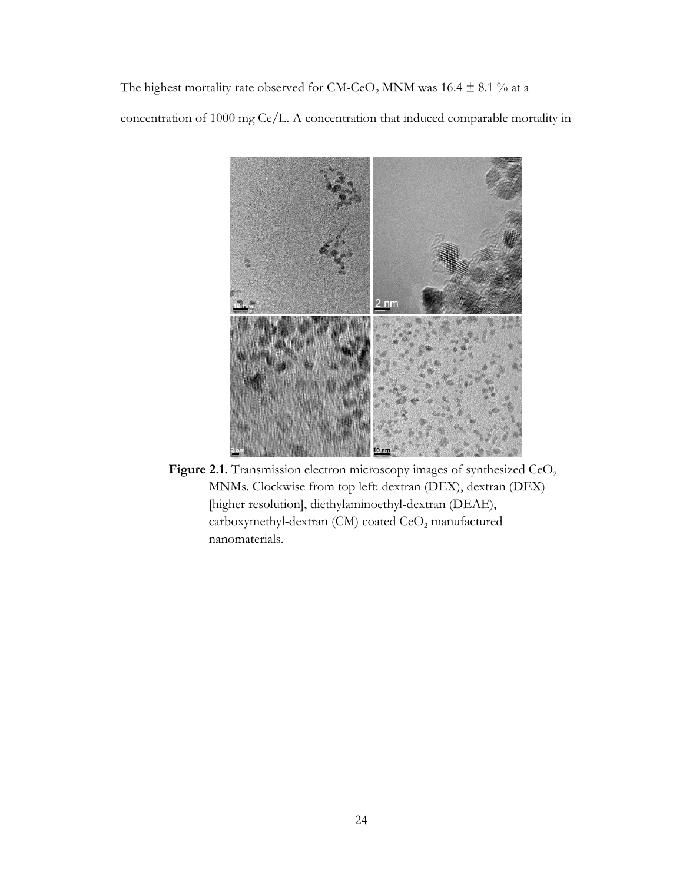The highest mortality rate observed for CM-CeO<sub>2</sub> MNM was 16.4  $\pm$  8.1 % at a concentration of 1000 mg Ce/L. A concentration that induced comparable mortality in



Figure 2.1. Transmission electron microscopy images of synthesized CeO<sub>2</sub> MNMs. Clockwise from top left: dextran (DEX), dextran (DEX) [higher resolution], diethylaminoethyl-dextran (DEAE), carboxymethyl-dextran (CM) coated  $\text{CeO}_2$  manufactured nanomaterials.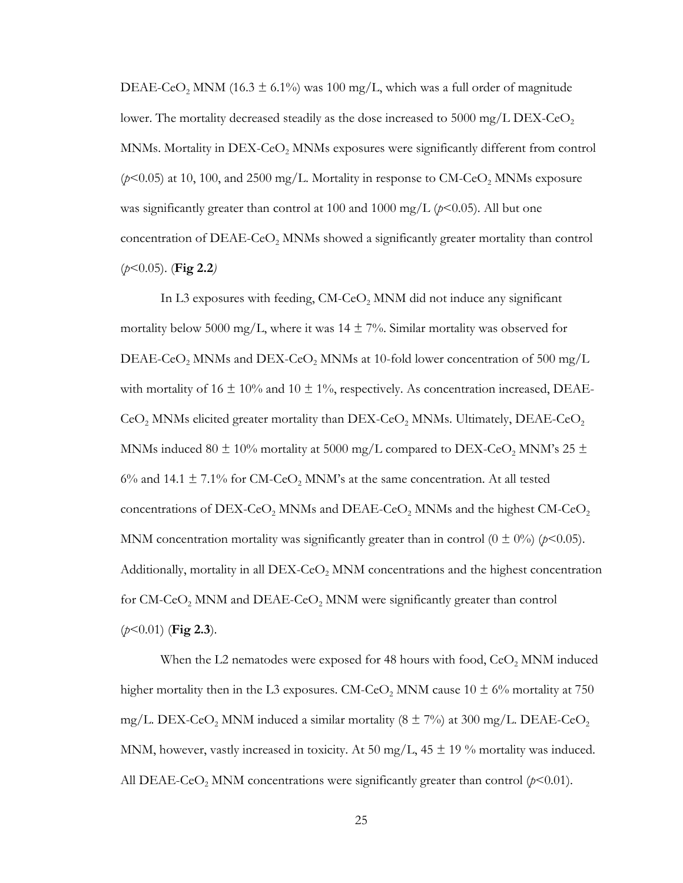DEAE-CeO<sub>2</sub> MNM (16.3  $\pm$  6.1%) was 100 mg/L, which was a full order of magnitude lower. The mortality decreased steadily as the dose increased to  $5000 \text{ mg/L}$  DEX-CeO<sub>2</sub> MNMs. Mortality in  $DEX-CeO<sub>2</sub>$  MNMs exposures were significantly different from control  $(p<0.05)$  at 10, 100, and 2500 mg/L. Mortality in response to CM-CeO<sub>2</sub> MNMs exposure was significantly greater than control at 100 and 1000 mg/L  $(p<0.05)$ . All but one concentration of  $DEAE-CeO<sub>2</sub>$  MNMs showed a significantly greater mortality than control (*p*<0.05). (**Fig 2.2***)*

In L3 exposures with feeding,  $CM$ -CeO<sub>2</sub> MNM did not induce any significant mortality below 5000 mg/L, where it was  $14 \pm 7\%$ . Similar mortality was observed for DEAE-CeO<sub>2</sub> MNMs and DEX-CeO<sub>2</sub> MNMs at 10-fold lower concentration of 500 mg/L with mortality of 16  $\pm$  10% and 10  $\pm$  1%, respectively. As concentration increased, DEAE- $CoO<sub>2</sub>$  MNMs elicited greater mortality than DEX-CeO<sub>2</sub> MNMs. Ultimately, DEAE-CeO<sub>2</sub> MNMs induced 80  $\pm$  10% mortality at 5000 mg/L compared to DEX-CeO<sub>2</sub> MNM's 25  $\pm$ 6% and 14.1  $\pm$  7.1% for CM-CeO<sub>2</sub> MNM's at the same concentration. At all tested concentrations of DEX-CeO<sub>2</sub> MNMs and DEAE-CeO<sub>2</sub> MNMs and the highest CM-CeO<sub>2</sub> MNM concentration mortality was significantly greater than in control  $(0 \pm 0\%)$  ( $p<0.05$ ). Additionally, mortality in all  $DEX-CeO<sub>2</sub>$  MNM concentrations and the highest concentration for  $CM$ -CeO<sub>2</sub> MNM and DEAE-CeO<sub>2</sub> MNM were significantly greater than control (*p*<0.01) (**Fig 2.3**).

When the L2 nematodes were exposed for 48 hours with food,  $CeO<sub>2</sub>$  MNM induced higher mortality then in the L3 exposures. CM-CeO<sub>2</sub> MNM cause 10  $\pm$  6% mortality at 750 mg/L. DEX-CeO<sub>2</sub> MNM induced a similar mortality  $(8 \pm 7\%)$  at 300 mg/L. DEAE-CeO<sub>2</sub> MNM, however, vastly increased in toxicity. At 50 mg/L,  $45 \pm 19$  % mortality was induced. All DEAE-CeO<sub>2</sub> MNM concentrations were significantly greater than control  $(p<0.01)$ .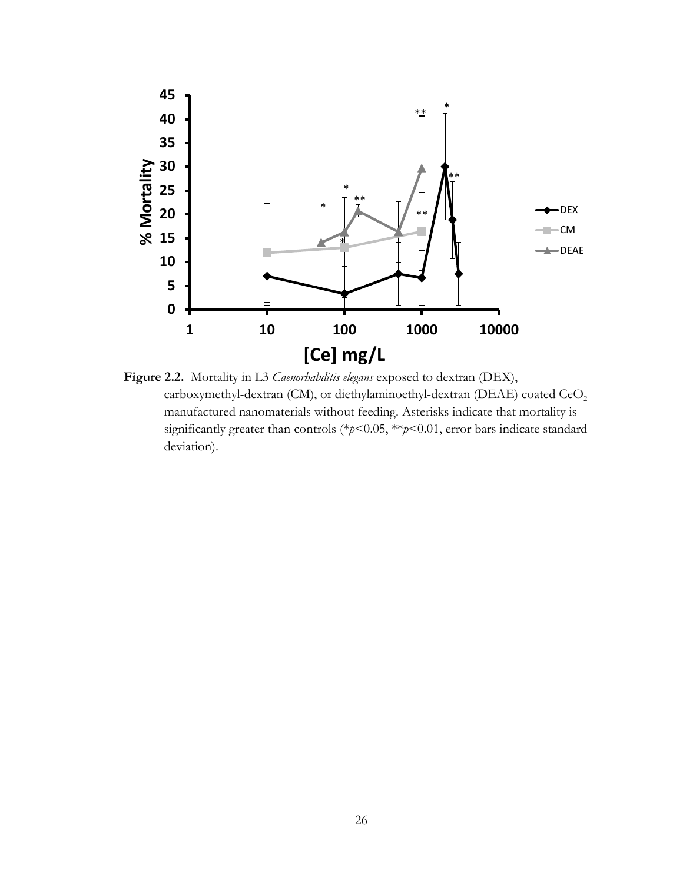

**Figure 2.2.** Mortality in L3 *Caenorhabditis elegans* exposed to dextran (DEX), carboxymethyl-dextran (CM), or diethylaminoethyl-dextran (DEAE) coated CeO<sub>2</sub> manufactured nanomaterials without feeding. Asterisks indicate that mortality is significantly greater than controls (\**p*<0.05, \*\**p*<0.01, error bars indicate standard deviation).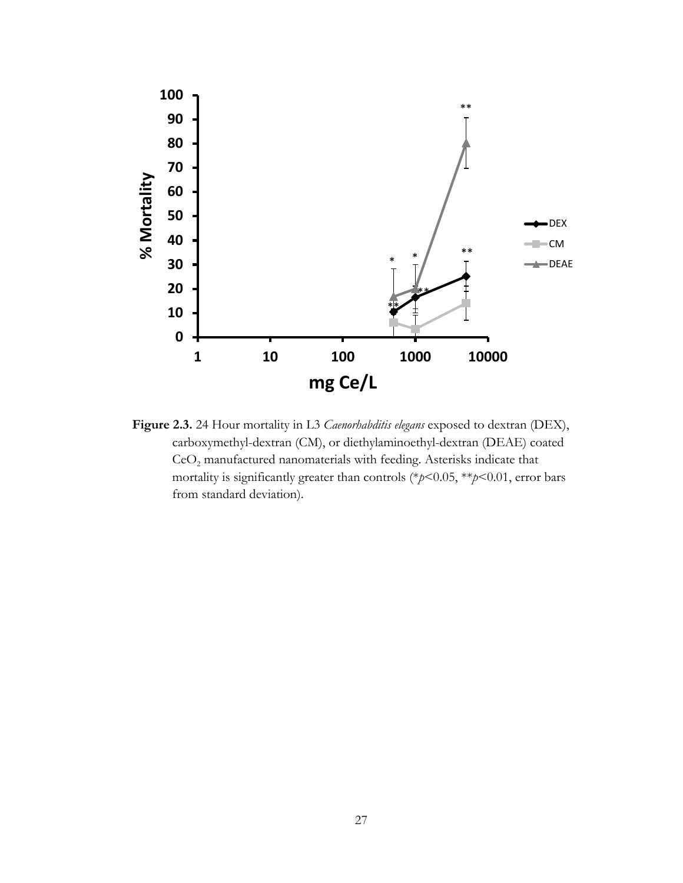

**Figure 2.3.** 24 Hour mortality in L3 *Caenorhabditis elegans* exposed to dextran (DEX), carboxymethyl-dextran (CM), or diethylaminoethyl-dextran (DEAE) coated CeO<sub>2</sub> manufactured nanomaterials with feeding. Asterisks indicate that mortality is significantly greater than controls (\**p*<0.05, \*\**p*<0.01, error bars from standard deviation).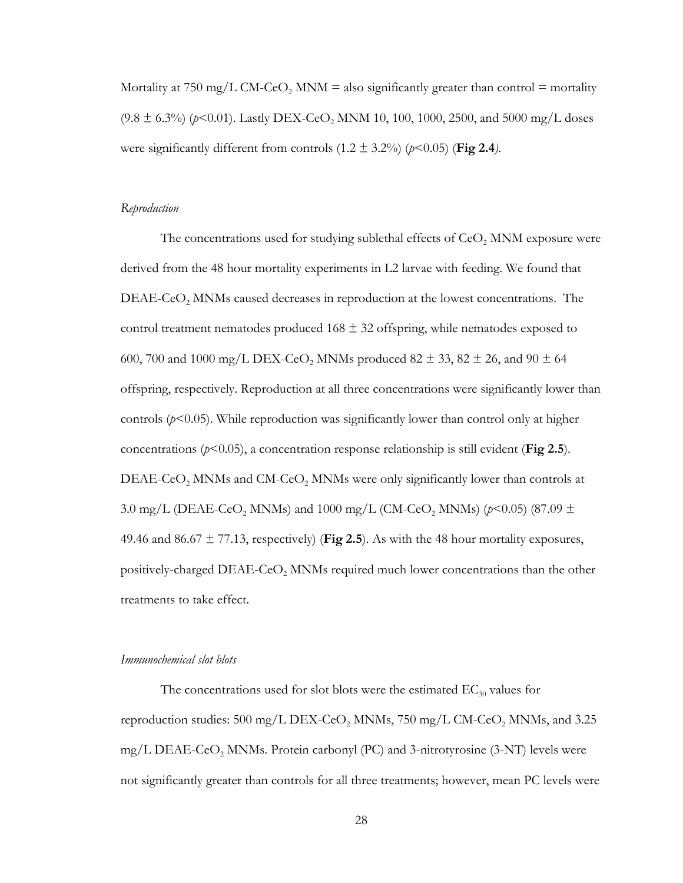Mortality at 750 mg/L CM-CeO<sub>2</sub> MNM = also significantly greater than control = mortality  $(9.8 \pm 6.3\%)$  ( $p < 0.01$ ). Lastly DEX-CeO<sub>2</sub> MNM 10, 100, 1000, 2500, and 5000 mg/L doses were significantly different from controls  $(1.2 \pm 3.2\%)$  ( $p<0.05$ ) (**Fig 2.4**).

#### *Reproduction*

The concentrations used for studying sublethal effects of  $CeO<sub>2</sub>$  MNM exposure were derived from the 48 hour mortality experiments in L2 larvae with feeding. We found that  $DEAE-CeO<sub>2</sub>$  MNMs caused decreases in reproduction at the lowest concentrations. The control treatment nematodes produced  $168 \pm 32$  offspring, while nematodes exposed to 600, 700 and 1000 mg/L DEX-CeO<sub>2</sub> MNMs produced 82  $\pm$  33, 82  $\pm$  26, and 90  $\pm$  64 offspring, respectively. Reproduction at all three concentrations were significantly lower than controls  $(p<0.05)$ . While reproduction was significantly lower than control only at higher concentrations ( $p$ <0.05), a concentration response relationship is still evident (**Fig 2.5**). DEAE-CeO<sub>2</sub> MNMs and CM-CeO<sub>2</sub> MNMs were only significantly lower than controls at 3.0 mg/L (DEAE-CeO<sub>2</sub> MNMs) and 1000 mg/L (CM-CeO<sub>2</sub> MNMs) ( $p$ <0.05) (87.09  $\pm$ 49.46 and  $86.67 \pm 77.13$ , respectively) (Fig 2.5). As with the 48 hour mortality exposures, positively-charged  $DEAE-CeO<sub>2</sub>$  MNMs required much lower concentrations than the other treatments to take effect.

#### *Immunochemical slot blots*

The concentrations used for slot blots were the estimated  $EC_{30}$  values for reproduction studies:  $500 \text{ mg/L}$  DEX-CeO<sub>2</sub> MNMs,  $750 \text{ mg/L}$  CM-CeO<sub>2</sub> MNMs, and 3.25 mg/L DEAE-CeO<sub>2</sub> MNMs. Protein carbonyl (PC) and 3-nitrotyrosine (3-NT) levels were not significantly greater than controls for all three treatments; however, mean PC levels were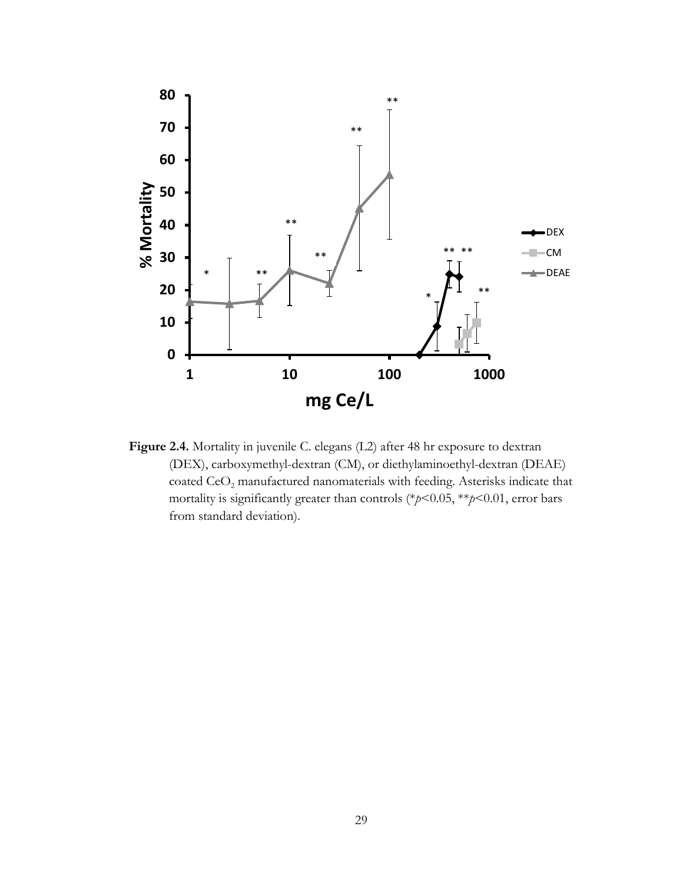

**Figure 2.4.** Mortality in juvenile C. elegans (L2) after 48 hr exposure to dextran (DEX), carboxymethyl-dextran (CM), or diethylaminoethyl-dextran (DEAE) coated  $\mathrm{CeO}_2$  manufactured nanomaterials with feeding. Asterisks indicate that mortality is significantly greater than controls (\**p*<0.05, \*\**p*<0.01, error bars from standard deviation).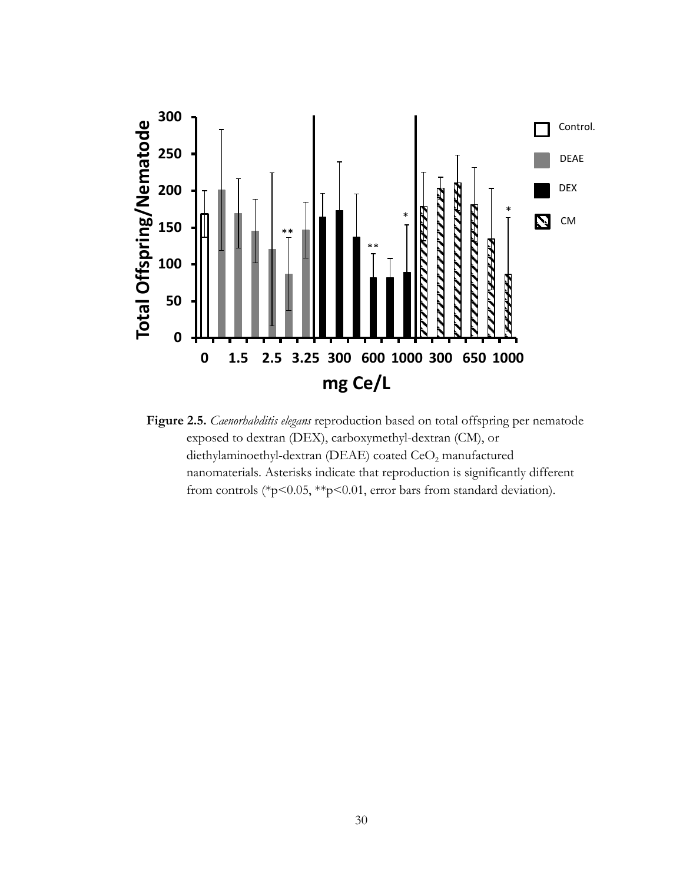

**Figure 2.5.** *Caenorhabditis elegans* reproduction based on total offspring per nematode exposed to dextran (DEX), carboxymethyl-dextran (CM), or diethylaminoethyl-dextran (DEAE) coated CeO<sub>2</sub> manufactured nanomaterials. Asterisks indicate that reproduction is significantly different from controls (\*p<0.05, \*\*p<0.01, error bars from standard deviation).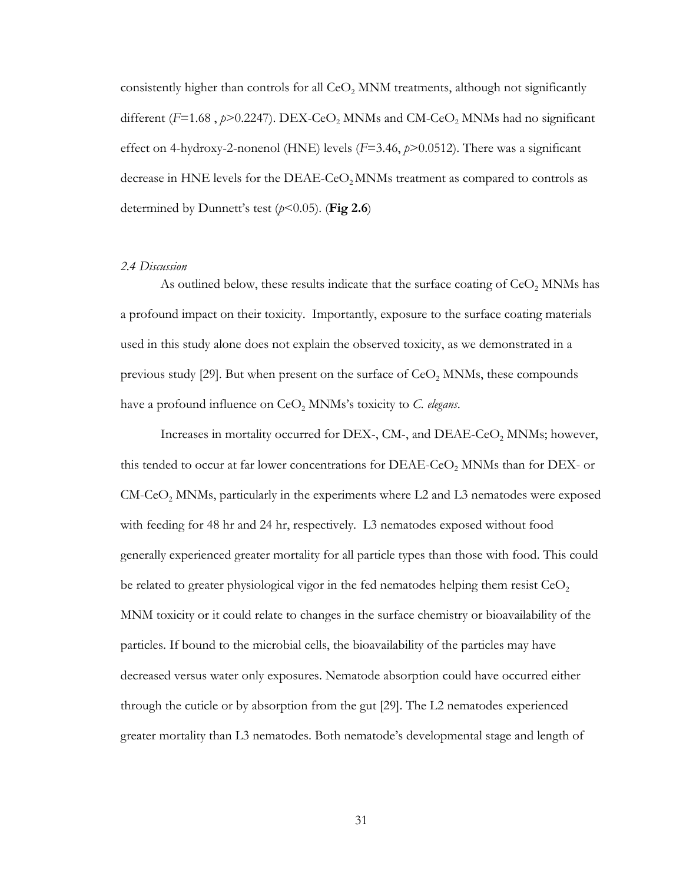consistently higher than controls for all  $CeO<sub>2</sub>$  MNM treatments, although not significantly different ( $F=1.68$ ,  $p>0.2247$ ). DEX-CeO<sub>2</sub> MNMs and CM-CeO<sub>2</sub> MNMs had no significant effect on 4-hydroxy-2-nonenol (HNE) levels (*F*=3.46, *p*>0.0512). There was a significant decrease in HNE levels for the DEAE-CeO<sub>2</sub> MNMs treatment as compared to controls as determined by Dunnett's test  $(p<0.05)$ . (Fig 2.6)

#### <span id="page-38-0"></span>*2.4 Discussion*

As outlined below, these results indicate that the surface coating of  $CeO<sub>2</sub>$  MNMs has a profound impact on their toxicity. Importantly, exposure to the surface coating materials used in this study alone does not explain the observed toxicity, as we demonstrated in a previous study  $[29]$ . But when present on the surface of  $CeO$ , MNMs, these compounds have a profound influence on CeO<sub>2</sub> MNMs's toxicity to *C. elegans*.

Increases in mortality occurred for DEX-, CM-, and DEAE-CeO<sub>2</sub> MNMs; however, this tended to occur at far lower concentrations for  $DEAE-CeO$ , MNMs than for  $DEX$ - or  $CM-CoO<sub>2</sub>$  MNMs, particularly in the experiments where L2 and L3 nematodes were exposed with feeding for 48 hr and 24 hr, respectively. L3 nematodes exposed without food generally experienced greater mortality for all particle types than those with food. This could be related to greater physiological vigor in the fed nematodes helping them resist  $CeO<sub>2</sub>$ MNM toxicity or it could relate to changes in the surface chemistry or bioavailability of the particles. If bound to the microbial cells, the bioavailability of the particles may have decreased versus water only exposures. Nematode absorption could have occurred either through the cuticle or by absorption from the gut [\[29\]](#page-48-9). The L2 nematodes experienced greater mortality than L3 nematodes. Both nematode's developmental stage and length of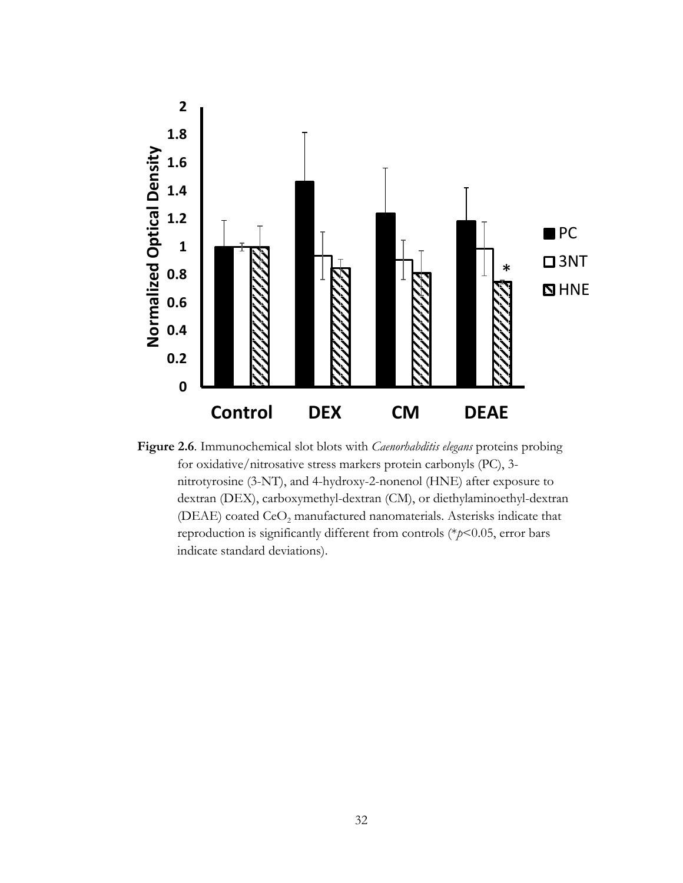

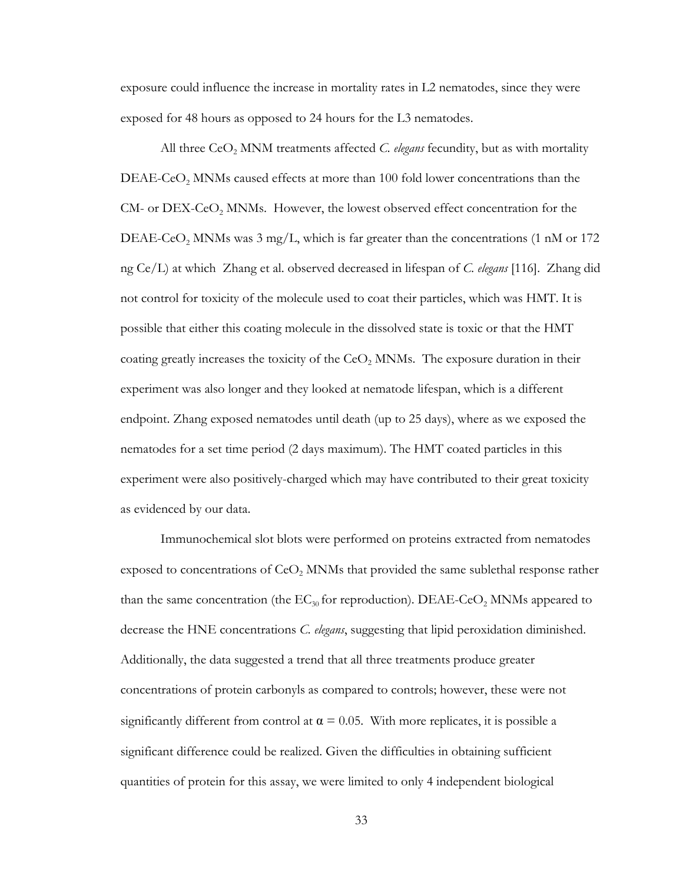exposure could influence the increase in mortality rates in L2 nematodes, since they were exposed for 48 hours as opposed to 24 hours for the L3 nematodes.

All three CeO<sub>2</sub> MNM treatments affected *C. elegans* fecundity, but as with mortality  $DEAE-CeO<sub>2</sub>$  MNMs caused effects at more than 100 fold lower concentrations than the CM- or DEX-CeO<sub>2</sub> MNMs. However, the lowest observed effect concentration for the DEAE-CeO<sub>2</sub> MNMs was 3 mg/L, which is far greater than the concentrations (1 nM or 172) ng Ce/L) at which Zhang et al. observed decreased in lifespan of *C. elegans* [\[116\]](#page-52-16). Zhang did not control for toxicity of the molecule used to coat their particles, which was HMT. It is possible that either this coating molecule in the dissolved state is toxic or that the HMT coating greatly increases the toxicity of the  $CeO<sub>2</sub>$  MNMs. The exposure duration in their experiment was also longer and they looked at nematode lifespan, which is a different endpoint. Zhang exposed nematodes until death (up to 25 days), where as we exposed the nematodes for a set time period (2 days maximum). The HMT coated particles in this experiment were also positively-charged which may have contributed to their great toxicity as evidenced by our data.

Immunochemical slot blots were performed on proteins extracted from nematodes exposed to concentrations of  $CeO<sub>2</sub>$  MNMs that provided the same sublethal response rather than the same concentration (the  $EC_{30}$  for reproduction).  $DEAE-CeO<sub>2</sub>$  MNMs appeared to decrease the HNE concentrations *C. elegans*, suggesting that lipid peroxidation diminished. Additionally, the data suggested a trend that all three treatments produce greater concentrations of protein carbonyls as compared to controls; however, these were not significantly different from control at  $\alpha = 0.05$ . With more replicates, it is possible a significant difference could be realized. Given the difficulties in obtaining sufficient quantities of protein for this assay, we were limited to only 4 independent biological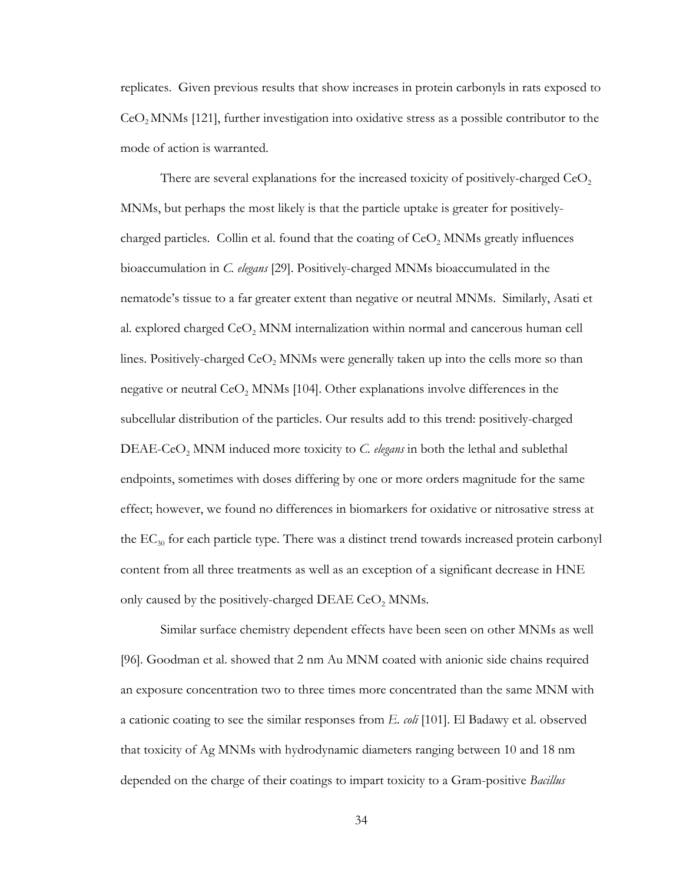replicates. Given previous results that show increases in protein carbonyls in rats exposed to  $Co<sub>2</sub>$  MNMs [\[121\]](#page-53-1), further investigation into oxidative stress as a possible contributor to the mode of action is warranted.

There are several explanations for the increased toxicity of positively-charged  $CeO<sub>2</sub>$ MNMs, but perhaps the most likely is that the particle uptake is greater for positivelycharged particles. Collin et al. found that the coating of  $CeO<sub>2</sub>$  MNMs greatly influences bioaccumulation in *C. elegans* [\[29\]](#page-48-9). Positively-charged MNMs bioaccumulated in the nematode's tissue to a far greater extent than negative or neutral MNMs. Similarly, Asati et al. explored charged  $CeO<sub>2</sub>$  MNM internalization within normal and cancerous human cell lines. Positively-charged  $CeO<sub>2</sub>$  MNMs were generally taken up into the cells more so than negative or neutral  $CeO<sub>2</sub>$  MNMs [\[104\]](#page-52-4). Other explanations involve differences in the subcellular distribution of the particles. Our results add to this trend: positively-charged DEAE-CeO<sub>2</sub> MNM induced more toxicity to *C. elegans* in both the lethal and sublethal endpoints, sometimes with doses differing by one or more orders magnitude for the same effect; however, we found no differences in biomarkers for oxidative or nitrosative stress at the  $EC_{30}$  for each particle type. There was a distinct trend towards increased protein carbonyl content from all three treatments as well as an exception of a significant decrease in HNE only caused by the positively-charged DEAE  $CeO<sub>2</sub>$  MNMs.

Similar surface chemistry dependent effects have been seen on other MNMs as well [\[96\]](#page-51-11). Goodman et al. showed that 2 nm Au MNM coated with anionic side chains required an exposure concentration two to three times more concentrated than the same MNM with a cationic coating to see the similar responses from *E. coli* [\[101\]](#page-52-1). El Badawy et al. observed that toxicity of Ag MNMs with hydrodynamic diameters ranging between 10 and 18 nm depended on the charge of their coatings to impart toxicity to a Gram-positive *Bacillus*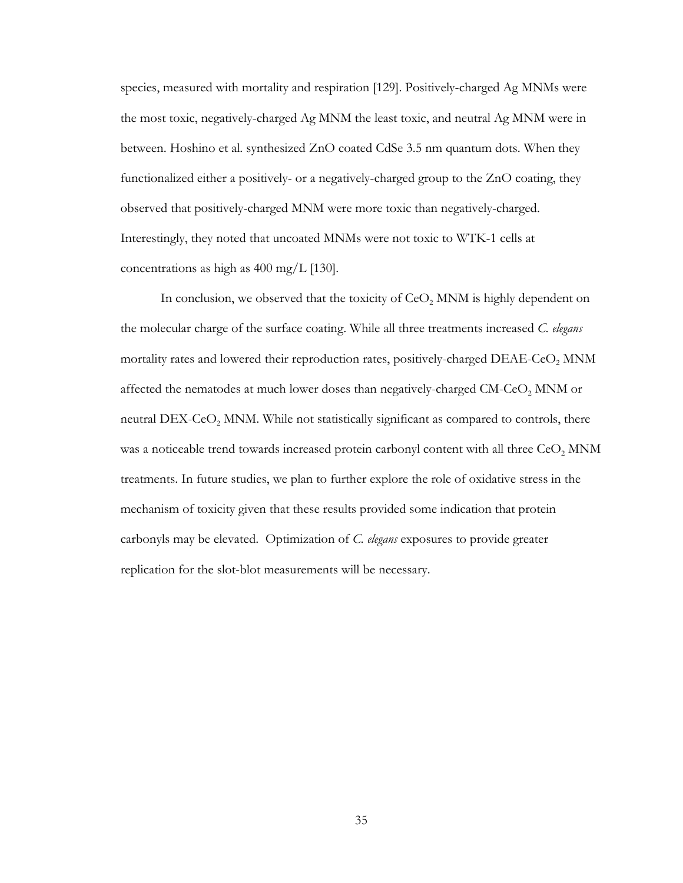species, measured with mortality and respiration [\[129\]](#page-53-9). Positively-charged Ag MNMs were the most toxic, negatively-charged Ag MNM the least toxic, and neutral Ag MNM were in between. Hoshino et al. synthesized ZnO coated CdSe 3.5 nm quantum dots. When they functionalized either a positively- or a negatively-charged group to the ZnO coating, they observed that positively-charged MNM were more toxic than negatively-charged. Interestingly, they noted that uncoated MNMs were not toxic to WTK-1 cells at concentrations as high as 400 mg/L [\[130\]](#page-53-10).

In conclusion, we observed that the toxicity of  $CeO<sub>2</sub>$  MNM is highly dependent on the molecular charge of the surface coating. While all three treatments increased *C. elegans* mortality rates and lowered their reproduction rates, positively-charged  $DEAE-CeO$ ,  $MNM$ affected the nematodes at much lower doses than negatively-charged CM-CeO<sub>2</sub> MNM or neutral DEX-CeO<sub>2</sub> MNM. While not statistically significant as compared to controls, there was a noticeable trend towards increased protein carbonyl content with all three  $CeO<sub>2</sub>$  MNM treatments. In future studies, we plan to further explore the role of oxidative stress in the mechanism of toxicity given that these results provided some indication that protein carbonyls may be elevated. Optimization of *C. elegans* exposures to provide greater replication for the slot-blot measurements will be necessary.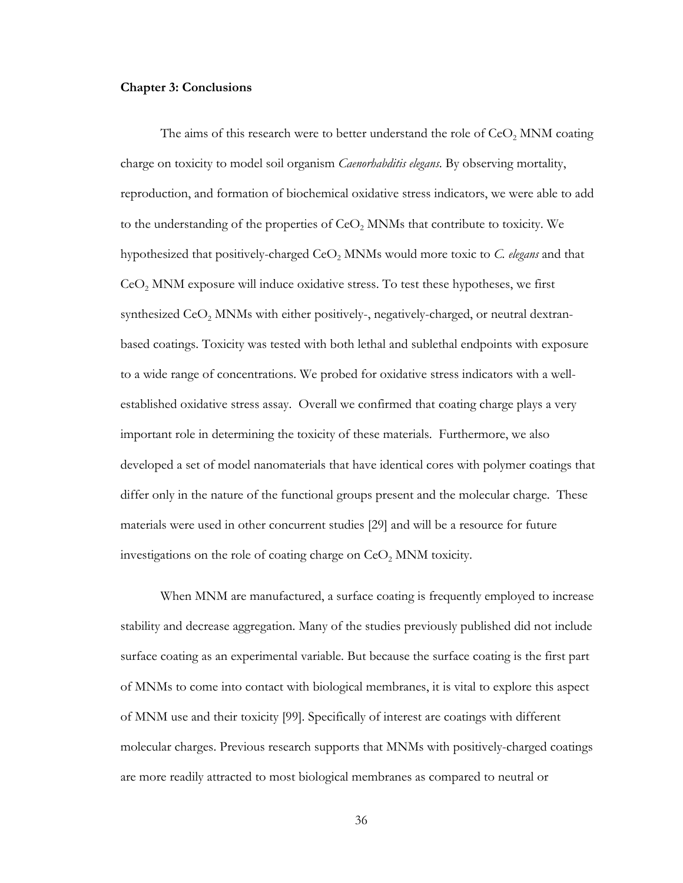#### <span id="page-43-0"></span>**Chapter 3: Conclusions**

The aims of this research were to better understand the role of  $CeO<sub>2</sub>$  MNM coating charge on toxicity to model soil organism *Caenorhabditis elegans*. By observing mortality, reproduction, and formation of biochemical oxidative stress indicators, we were able to add to the understanding of the properties of CeO<sub>2</sub> MNMs that contribute to toxicity. We hypothesized that positively-charged CeO<sub>2</sub> MNMs would more toxic to *C. elegans* and that  $Co<sub>2</sub>$  MNM exposure will induce oxidative stress. To test these hypotheses, we first synthesized  $CeO<sub>2</sub>$  MNMs with either positively-, negatively-charged, or neutral dextranbased coatings. Toxicity was tested with both lethal and sublethal endpoints with exposure to a wide range of concentrations. We probed for oxidative stress indicators with a wellestablished oxidative stress assay. Overall we confirmed that coating charge plays a very important role in determining the toxicity of these materials. Furthermore, we also developed a set of model nanomaterials that have identical cores with polymer coatings that differ only in the nature of the functional groups present and the molecular charge. These materials were used in other concurrent studies [\[29\]](#page-48-9) and will be a resource for future investigations on the role of coating charge on CeO<sub>2</sub> MNM toxicity.

When MNM are manufactured, a surface coating is frequently employed to increase stability and decrease aggregation. Many of the studies previously published did not include surface coating as an experimental variable. But because the surface coating is the first part of MNMs to come into contact with biological membranes, it is vital to explore this aspect of MNM use and their toxicity [\[99\]](#page-51-14). Specifically of interest are coatings with different molecular charges. Previous research supports that MNMs with positively-charged coatings are more readily attracted to most biological membranes as compared to neutral or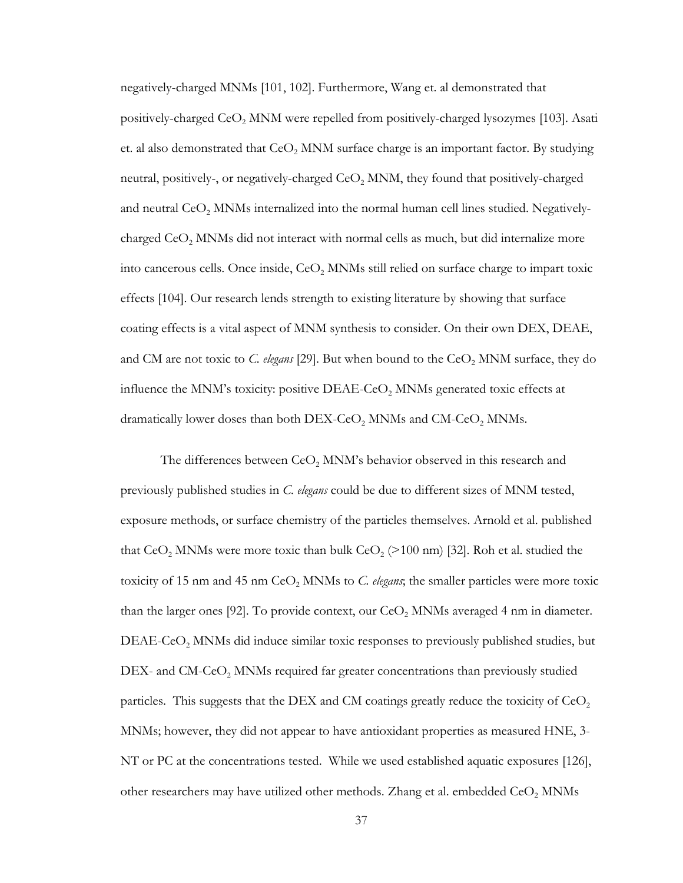negatively-charged MNMs [\[101,](#page-52-1) [102\]](#page-52-2). Furthermore, Wang et. al demonstrated that positively-charged  $CeO<sub>2</sub>$  MNM were repelled from positively-charged lysozymes [\[103\]](#page-52-3). Asati et. al also demonstrated that  $CeO<sub>2</sub>$  MNM surface charge is an important factor. By studying neutral, positively-, or negatively-charged  $CeO<sub>2</sub>$  MNM, they found that positively-charged and neutral  $CeO<sub>2</sub>$  MNMs internalized into the normal human cell lines studied. Negativelycharged  $CeO<sub>2</sub>$  MNMs did not interact with normal cells as much, but did internalize more into cancerous cells. Once inside,  $CeO<sub>2</sub>$  MNMs still relied on surface charge to impart toxic effects [\[104\]](#page-52-4). Our research lends strength to existing literature by showing that surface coating effects is a vital aspect of MNM synthesis to consider. On their own DEX, DEAE, and CM are not toxic to *C. elegans* [\[29\]](#page-48-9). But when bound to the CeO<sub>2</sub> MNM surface, they do influence the MNM's toxicity: positive  $DEAE-CeO<sub>2</sub>$  MNMs generated toxic effects at dramatically lower doses than both  $DEX-CeO<sub>2</sub>$  MNMs and  $CM-CeO<sub>2</sub>$  MNMs.

The differences between  $CeO<sub>2</sub>$  MNM's behavior observed in this research and previously published studies in *C. elegans* could be due to different sizes of MNM tested, exposure methods, or surface chemistry of the particles themselves. Arnold et al. published that  $CeO<sub>2</sub>$  MNMs were more toxic than bulk  $CeO<sub>2</sub>$  (>100 nm) [\[32\]](#page-48-12). Roh et al. studied the toxicity of 15 nm and 45 nm  $CeO<sub>2</sub>$  MNMs to *C. elegans*; the smaller particles were more toxic than the larger ones [\[92\]](#page-51-7). To provide context, our  $CeO$ , MNMs averaged 4 nm in diameter. DEAE-CeO<sub>2</sub> MNMs did induce similar toxic responses to previously published studies, but  $DEX$ - and  $CM$ -Ce $O<sub>2</sub>$  MNMs required far greater concentrations than previously studied particles. This suggests that the DEX and CM coatings greatly reduce the toxicity of  $CeO<sub>2</sub>$ MNMs; however, they did not appear to have antioxidant properties as measured HNE, 3- NT or PC at the concentrations tested. While we used established aquatic exposures [\[126\]](#page-53-6), other researchers may have utilized other methods. Zhang et al. embedded CeO<sub>2</sub> MNMs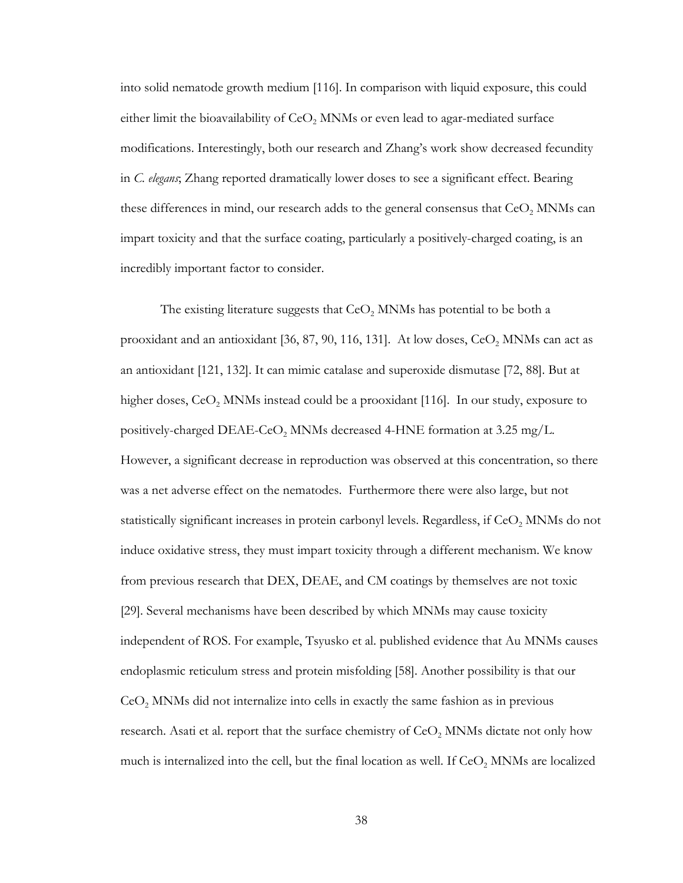into solid nematode growth medium [\[116\]](#page-52-16). In comparison with liquid exposure, this could either limit the bioavailability of  $CeO<sub>2</sub>$  MNMs or even lead to agar-mediated surface modifications. Interestingly, both our research and Zhang's work show decreased fecundity in *C. elegans*; Zhang reported dramatically lower doses to see a significant effect. Bearing these differences in mind, our research adds to the general consensus that  $CeO<sub>2</sub>$  MNMs can impart toxicity and that the surface coating, particularly a positively-charged coating, is an incredibly important factor to consider.

The existing literature suggests that  $CeO<sub>2</sub>$  MNMs has potential to be both a prooxidant and an antioxidant [\[36,](#page-48-16) [87,](#page-51-4) [90,](#page-51-5) [116,](#page-52-16) [131\]](#page-53-11). At low doses, CeO<sub>2</sub> MNMs can act as an antioxidant [\[121,](#page-53-1) [132\]](#page-53-12). It can mimic catalase and superoxide dismutase [\[72,](#page-50-9) [88\]](#page-51-2). But at higher doses,  $CeO$ , MNMs instead could be a prooxidant [\[116\]](#page-52-16). In our study, exposure to positively-charged DEAE-CeO<sub>2</sub> MNMs decreased 4-HNE formation at 3.25 mg/L. However, a significant decrease in reproduction was observed at this concentration, so there was a net adverse effect on the nematodes. Furthermore there were also large, but not statistically significant increases in protein carbonyl levels. Regardless, if CeO<sub>2</sub> MNMs do not induce oxidative stress, they must impart toxicity through a different mechanism. We know from previous research that DEX, DEAE, and CM coatings by themselves are not toxic [\[29\]](#page-48-9). Several mechanisms have been described by which MNMs may cause toxicity independent of ROS. For example, Tsyusko et al. published evidence that Au MNMs causes endoplasmic reticulum stress and protein misfolding [\[58\]](#page-49-16). Another possibility is that our  $CeO<sub>2</sub>$  MNMs did not internalize into cells in exactly the same fashion as in previous research. Asati et al. report that the surface chemistry of CeO<sub>2</sub> MNMs dictate not only how much is internalized into the cell, but the final location as well. If  $CeO<sub>2</sub>$  MNMs are localized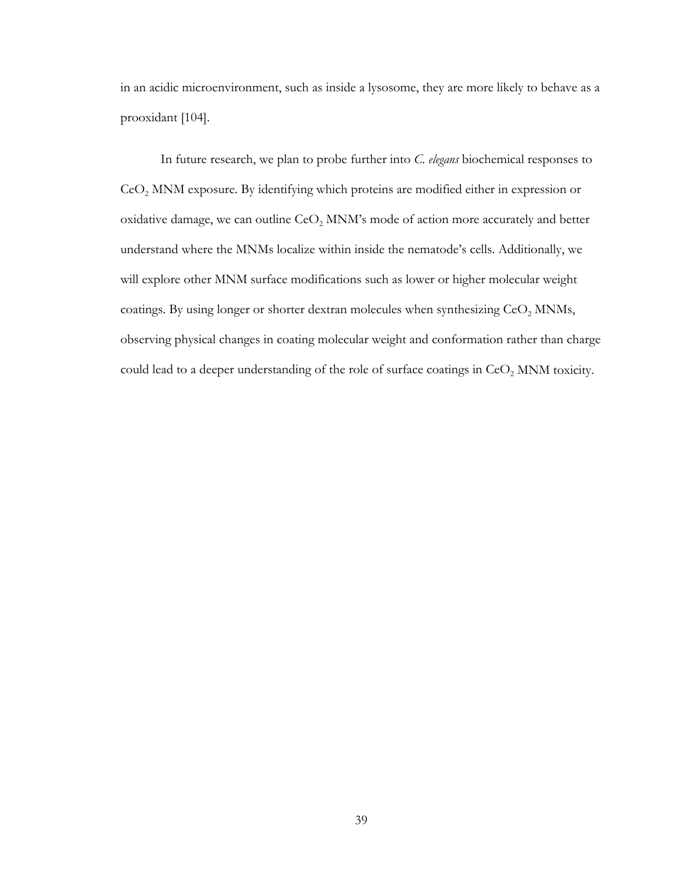in an acidic microenvironment, such as inside a lysosome, they are more likely to behave as a prooxidant [\[104\]](#page-52-4).

In future research, we plan to probe further into *C. elegans* biochemical responses to  $CeO<sub>2</sub>$  MNM exposure. By identifying which proteins are modified either in expression or oxidative damage, we can outline  $CeO<sub>2</sub>$  MNM's mode of action more accurately and better understand where the MNMs localize within inside the nematode's cells. Additionally, we will explore other MNM surface modifications such as lower or higher molecular weight coatings. By using longer or shorter dextran molecules when synthesizing  $\text{CeO}_2$  MNMs, observing physical changes in coating molecular weight and conformation rather than charge could lead to a deeper understanding of the role of surface coatings in  $\text{CeO}_2$  MNM toxicity.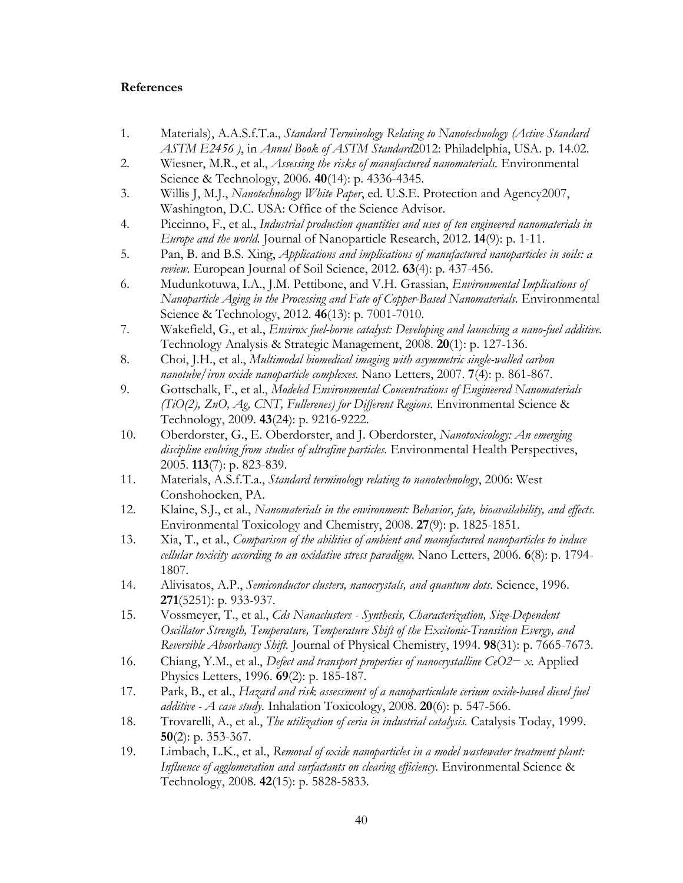#### <span id="page-47-0"></span>**References**

- <span id="page-47-1"></span>1. Materials), A.A.S.f.T.a., *Standard Terminology Relating to Nanotechnology (Active Standard ASTM E2456 )*, in *Annul Book of ASTM Standard*2012: Philadelphia, USA. p. 14.02.
- <span id="page-47-2"></span>2. Wiesner, M.R., et al., *Assessing the risks of manufactured nanomaterials.* Environmental Science & Technology, 2006. **40**(14): p. 4336-4345.
- 3. Willis J, M.J., *Nanotechnology White Paper*, ed. U.S.E. Protection and Agency2007, Washington, D.C. USA: Office of the Science Advisor.
- 4. Piccinno, F., et al., *Industrial production quantities and uses of ten engineered nanomaterials in Europe and the world.* Journal of Nanoparticle Research, 2012. **14**(9): p. 1-11.
- <span id="page-47-3"></span>5. Pan, B. and B.S. Xing, *Applications and implications of manufactured nanoparticles in soils: a review.* European Journal of Soil Science, 2012. **63**(4): p. 437-456.
- 6. Mudunkotuwa, I.A., J.M. Pettibone, and V.H. Grassian, *Environmental Implications of Nanoparticle Aging in the Processing and Fate of Copper-Based Nanomaterials.* Environmental Science & Technology, 2012. **46**(13): p. 7001-7010.
- <span id="page-47-15"></span>7. Wakefield, G., et al., *Envirox fuel-borne catalyst: Developing and launching a nano-fuel additive.* Technology Analysis & Strategic Management, 2008. **20**(1): p. 127-136.
- <span id="page-47-16"></span>8. Choi, J.H., et al., *Multimodal biomedical imaging with asymmetric single-walled carbon nanotube/iron oxide nanoparticle complexes.* Nano Letters, 2007. **7**(4): p. 861-867.
- <span id="page-47-4"></span>9. Gottschalk, F., et al., *Modeled Environmental Concentrations of Engineered Nanomaterials (TiO(2), ZnO, Ag, CNT, Fullerenes) for Different Regions.* Environmental Science & Technology, 2009. **43**(24): p. 9216-9222.
- <span id="page-47-5"></span>10. Oberdorster, G., E. Oberdorster, and J. Oberdorster, *Nanotoxicology: An emerging discipline evolving from studies of ultrafine particles.* Environmental Health Perspectives, 2005. **113**(7): p. 823-839.
- <span id="page-47-6"></span>11. Materials, A.S.f.T.a., *Standard terminology relating to nanotechnology*, 2006: West Conshohocken, PA.
- <span id="page-47-7"></span>12. Klaine, S.J., et al., *Nanomaterials in the environment: Behavior, fate, bioavailability, and effects.* Environmental Toxicology and Chemistry, 2008. **27**(9): p. 1825-1851.
- <span id="page-47-8"></span>13. Xia, T., et al., *Comparison of the abilities of ambient and manufactured nanoparticles to induce cellular toxicity according to an oxidative stress paradigm.* Nano Letters, 2006. **6**(8): p. 1794- 1807.
- <span id="page-47-9"></span>14. Alivisatos, A.P., *Semiconductor clusters, nanocrystals, and quantum dots.* Science, 1996. **271**(5251): p. 933-937.
- <span id="page-47-10"></span>15. Vossmeyer, T., et al., *Cds Nanaclusters - Synthesis, Characterization, Size-Dependent Oscillator Strength, Temperature, Temperature Shift of the Excitonic-Transition Evergy, and Reversible Absorbancy Shift.* Journal of Physical Chemistry, 1994. **98**(31): p. 7665-7673.
- <span id="page-47-11"></span>16. Chiang, Y.M., et al., *Defect and transport properties of nanocrystalline CeO2− x.* Applied Physics Letters, 1996. **69**(2): p. 185-187.
- <span id="page-47-12"></span>17. Park, B., et al., *Hazard and risk assessment of a nanoparticulate cerium oxide-based diesel fuel additive - A case study.* Inhalation Toxicology, 2008. **20**(6): p. 547-566.
- <span id="page-47-13"></span>18. Trovarelli, A., et al., *The utilization of ceria in industrial catalysis.* Catalysis Today, 1999. **50**(2): p. 353-367.
- <span id="page-47-14"></span>19. Limbach, L.K., et al., *Removal of oxide nanoparticles in a model wastewater treatment plant: Influence of agglomeration and surfactants on clearing efficiency.* Environmental Science & Technology, 2008. **42**(15): p. 5828-5833.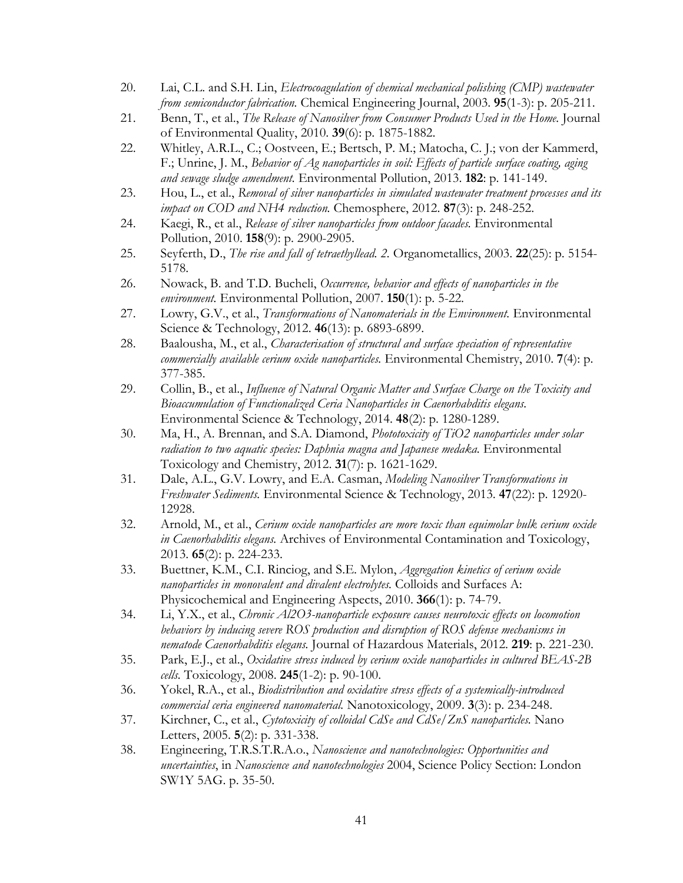- <span id="page-48-0"></span>20. Lai, C.L. and S.H. Lin, *Electrocoagulation of chemical mechanical polishing (CMP) wastewater from semiconductor fabrication.* Chemical Engineering Journal, 2003. **95**(1-3): p. 205-211.
- <span id="page-48-1"></span>21. Benn, T., et al., *The Release of Nanosilver from Consumer Products Used in the Home.* Journal of Environmental Quality, 2010. **39**(6): p. 1875-1882.
- <span id="page-48-2"></span>22. Whitley, A.R.L., C.; Oostveen, E.; Bertsch, P. M.; Matocha, C. J.; von der Kammerd, F.; Unrine, J. M., *Behavior of Ag nanoparticles in soil: Effects of particle surface coating, aging and sewage sludge amendment.* Environmental Pollution, 2013. **182**: p. 141-149.
- <span id="page-48-3"></span>23. Hou, L., et al., *Removal of silver nanoparticles in simulated wastewater treatment processes and its impact on COD and NH4 reduction.* Chemosphere, 2012. **87**(3): p. 248-252.
- <span id="page-48-4"></span>24. Kaegi, R., et al., *Release of silver nanoparticles from outdoor facades.* Environmental Pollution, 2010. **158**(9): p. 2900-2905.
- <span id="page-48-5"></span>25. Seyferth, D., *The rise and fall of tetraethyllead. 2.* Organometallics, 2003. **22**(25): p. 5154- 5178.
- <span id="page-48-6"></span>26. Nowack, B. and T.D. Bucheli, *Occurrence, behavior and effects of nanoparticles in the environment.* Environmental Pollution, 2007. **150**(1): p. 5-22.
- <span id="page-48-7"></span>27. Lowry, G.V., et al., *Transformations of Nanomaterials in the Environment.* Environmental Science & Technology, 2012. **46**(13): p. 6893-6899.
- <span id="page-48-8"></span>28. Baalousha, M., et al., *Characterisation of structural and surface speciation of representative commercially available cerium oxide nanoparticles.* Environmental Chemistry, 2010. **7**(4): p. 377-385.
- <span id="page-48-9"></span>29. Collin, B., et al., *Influence of Natural Organic Matter and Surface Charge on the Toxicity and Bioaccumulation of Functionalized Ceria Nanoparticles in Caenorhabditis elegans.* Environmental Science & Technology, 2014. **48**(2): p. 1280-1289.
- <span id="page-48-10"></span>30. Ma, H., A. Brennan, and S.A. Diamond, *Phototoxicity of TiO2 nanoparticles under solar radiation to two aquatic species: Daphnia magna and Japanese medaka.* Environmental Toxicology and Chemistry, 2012. **31**(7): p. 1621-1629.
- <span id="page-48-11"></span>31. Dale, A.L., G.V. Lowry, and E.A. Casman, *Modeling Nanosilver Transformations in Freshwater Sediments.* Environmental Science & Technology, 2013. **47**(22): p. 12920- 12928.
- <span id="page-48-12"></span>32. Arnold, M., et al., *Cerium oxide nanoparticles are more toxic than equimolar bulk cerium oxide in Caenorhabditis elegans.* Archives of Environmental Contamination and Toxicology, 2013. **65**(2): p. 224-233.
- <span id="page-48-13"></span>33. Buettner, K.M., C.I. Rinciog, and S.E. Mylon, *Aggregation kinetics of cerium oxide nanoparticles in monovalent and divalent electrolytes.* Colloids and Surfaces A: Physicochemical and Engineering Aspects, 2010. **366**(1): p. 74-79.
- <span id="page-48-14"></span>34. Li, Y.X., et al., *Chronic Al2O3-nanoparticle exposure causes neurotoxic effects on locomotion behaviors by inducing severe ROS production and disruption of ROS defense mechanisms in nematode Caenorhabditis elegans.* Journal of Hazardous Materials, 2012. **219**: p. 221-230.
- <span id="page-48-15"></span>35. Park, E.J., et al., *Oxidative stress induced by cerium oxide nanoparticles in cultured BEAS-2B cells.* Toxicology, 2008. **245**(1-2): p. 90-100.
- <span id="page-48-16"></span>36. Yokel, R.A., et al., *Biodistribution and oxidative stress effects of a systemically-introduced commercial ceria engineered nanomaterial.* Nanotoxicology, 2009. **3**(3): p. 234-248.
- 37. Kirchner, C., et al., *Cytotoxicity of colloidal CdSe and CdSe/ZnS nanoparticles.* Nano Letters, 2005. **5**(2): p. 331-338.
- 38. Engineering, T.R.S.T.R.A.o., *Nanoscience and nanotechnologies: Opportunities and uncertainties*, in *Nanoscience and nanotechnologies* 2004, Science Policy Section: London SW1Y 5AG. p. 35-50.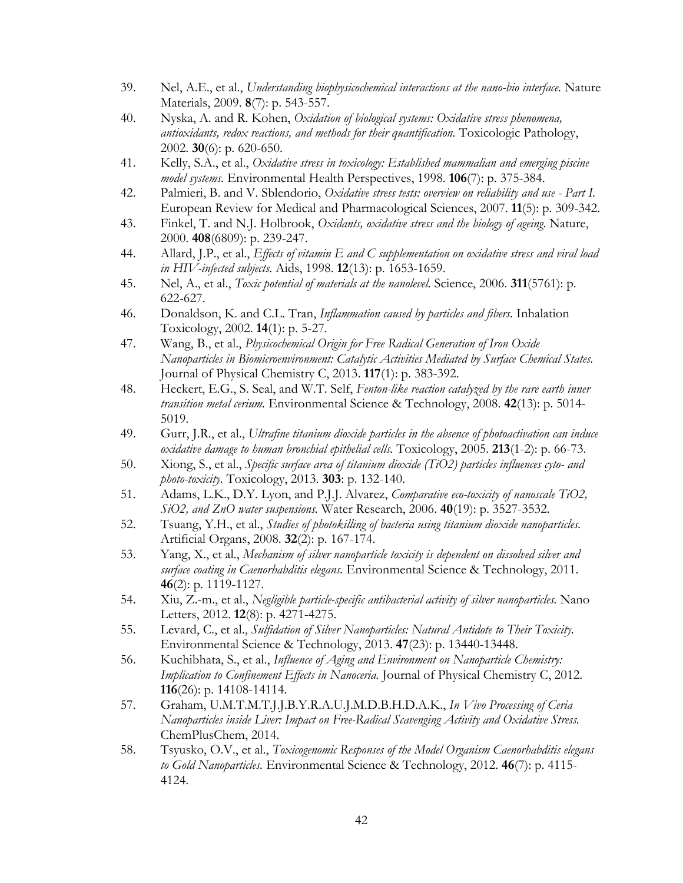- 39. Nel, A.E., et al., *Understanding biophysicochemical interactions at the nano-bio interface.* Nature Materials, 2009. **8**(7): p. 543-557.
- <span id="page-49-0"></span>40. Nyska, A. and R. Kohen, *Oxidation of biological systems: Oxidative stress phenomena, antioxidants, redox reactions, and methods for their quantification.* Toxicologic Pathology, 2002. **30**(6): p. 620-650.
- <span id="page-49-1"></span>41. Kelly, S.A., et al., *Oxidative stress in toxicology: Established mammalian and emerging piscine model systems.* Environmental Health Perspectives, 1998. **106**(7): p. 375-384.
- <span id="page-49-2"></span>42. Palmieri, B. and V. Sblendorio, *Oxidative stress tests: overview on reliability and use - Part I.* European Review for Medical and Pharmacological Sciences, 2007. **11**(5): p. 309-342.
- <span id="page-49-3"></span>43. Finkel, T. and N.J. Holbrook, *Oxidants, oxidative stress and the biology of ageing.* Nature, 2000. **408**(6809): p. 239-247.
- <span id="page-49-4"></span>44. Allard, J.P., et al., *Effects of vitamin E and C supplementation on oxidative stress and viral load in HIV-infected subjects.* Aids, 1998. **12**(13): p. 1653-1659.
- <span id="page-49-5"></span>45. Nel, A., et al., *Toxic potential of materials at the nanolevel.* Science, 2006. **311**(5761): p. 622-627.
- <span id="page-49-6"></span>46. Donaldson, K. and C.L. Tran, *Inflammation caused by particles and fibers.* Inhalation Toxicology, 2002. **14**(1): p. 5-27.
- 47. Wang, B., et al., *Physicochemical Origin for Free Radical Generation of Iron Oxide Nanoparticles in Biomicroenvironment: Catalytic Activities Mediated by Surface Chemical States.* Journal of Physical Chemistry C, 2013. **117**(1): p. 383-392.
- <span id="page-49-17"></span>48. Heckert, E.G., S. Seal, and W.T. Self, *Fenton-like reaction catalyzed by the rare earth inner transition metal cerium.* Environmental Science & Technology, 2008. **42**(13): p. 5014- 5019.
- <span id="page-49-7"></span>49. Gurr, J.R., et al., *Ultrafine titanium dioxide particles in the absence of photoactivation can induce oxidative damage to human bronchial epithelial cells.* Toxicology, 2005. **213**(1-2): p. 66-73.
- <span id="page-49-8"></span>50. Xiong, S., et al., *Specific surface area of titanium dioxide (TiO2) particles influences cyto- and photo-toxicity.* Toxicology, 2013. **303**: p. 132-140.
- <span id="page-49-9"></span>51. Adams, L.K., D.Y. Lyon, and P.J.J. Alvarez, *Comparative eco-toxicity of nanoscale TiO2, SiO2, and ZnO water suspensions.* Water Research, 2006. **40**(19): p. 3527-3532.
- <span id="page-49-10"></span>52. Tsuang, Y.H., et al., *Studies of photokilling of bacteria using titanium dioxide nanoparticles.* Artificial Organs, 2008. **32**(2): p. 167-174.
- <span id="page-49-11"></span>53. Yang, X., et al., *Mechanism of silver nanoparticle toxicity is dependent on dissolved silver and surface coating in Caenorhabditis elegans.* Environmental Science & Technology, 2011. **46**(2): p. 1119-1127.
- <span id="page-49-12"></span>54. Xiu, Z.-m., et al., *Negligible particle-specific antibacterial activity of silver nanoparticles.* Nano Letters, 2012. **12**(8): p. 4271-4275.
- <span id="page-49-13"></span>55. Levard, C., et al., *Sulfidation of Silver Nanoparticles: Natural Antidote to Their Toxicity.* Environmental Science & Technology, 2013. **47**(23): p. 13440-13448.
- <span id="page-49-14"></span>56. Kuchibhata, S., et al., *Influence of Aging and Environment on Nanoparticle Chemistry: Implication to Confinement Effects in Nanoceria.* Journal of Physical Chemistry C, 2012. **116**(26): p. 14108-14114.
- <span id="page-49-15"></span>57. Graham, U.M.T.M.T.J.J.B.Y.R.A.U.J.M.D.B.H.D.A.K., *In Vivo Processing of Ceria Nanoparticles inside Liver: Impact on Free-Radical Scavenging Activity and Oxidative Stress.* ChemPlusChem, 2014.
- <span id="page-49-16"></span>58. Tsyusko, O.V., et al., *Toxicogenomic Responses of the Model Organism Caenorhabditis elegans to Gold Nanoparticles.* Environmental Science & Technology, 2012. **46**(7): p. 4115- 4124.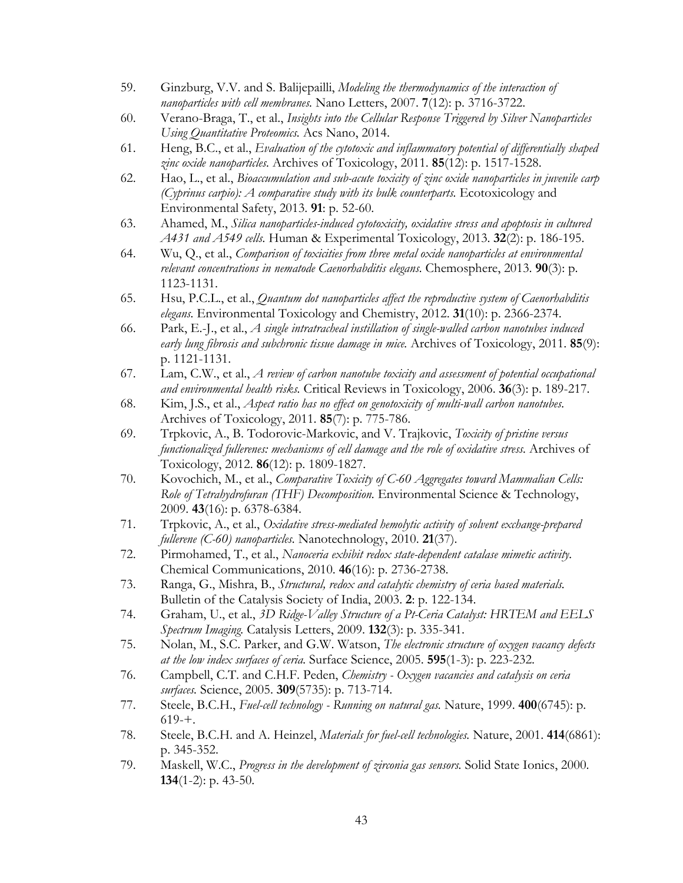- <span id="page-50-16"></span>59. Ginzburg, V.V. and S. Balijepailli, *Modeling the thermodynamics of the interaction of nanoparticles with cell membranes.* Nano Letters, 2007. **7**(12): p. 3716-3722.
- 60. Verano-Braga, T., et al., *Insights into the Cellular Response Triggered by Silver Nanoparticles Using Quantitative Proteomics.* Acs Nano, 2014.
- <span id="page-50-0"></span>61. Heng, B.C., et al., *Evaluation of the cytotoxic and inflammatory potential of differentially shaped zinc oxide nanoparticles.* Archives of Toxicology, 2011. **85**(12): p. 1517-1528.
- <span id="page-50-1"></span>62. Hao, L., et al., *Bioaccumulation and sub-acute toxicity of zinc oxide nanoparticles in juvenile carp (Cyprinus carpio): A comparative study with its bulk counterparts.* Ecotoxicology and Environmental Safety, 2013. **91**: p. 52-60.
- <span id="page-50-2"></span>63. Ahamed, M., *Silica nanoparticles-induced cytotoxicity, oxidative stress and apoptosis in cultured A431 and A549 cells.* Human & Experimental Toxicology, 2013. **32**(2): p. 186-195.
- <span id="page-50-3"></span>64. Wu, Q., et al., *Comparison of toxicities from three metal oxide nanoparticles at environmental relevant concentrations in nematode Caenorhabditis elegans.* Chemosphere, 2013. **90**(3): p. 1123-1131.
- <span id="page-50-4"></span>65. Hsu, P.C.L., et al., *Quantum dot nanoparticles affect the reproductive system of Caenorhabditis elegans.* Environmental Toxicology and Chemistry, 2012. **31**(10): p. 2366-2374.
- <span id="page-50-5"></span>66. Park, E.-J., et al., *A single intratracheal instillation of single-walled carbon nanotubes induced early lung fibrosis and subchronic tissue damage in mice.* Archives of Toxicology, 2011. **85**(9): p. 1121-1131.
- <span id="page-50-6"></span>67. Lam, C.W., et al., *A review of carbon nanotube toxicity and assessment of potential occupational and environmental health risks.* Critical Reviews in Toxicology, 2006. **36**(3): p. 189-217.
- <span id="page-50-7"></span>68. Kim, J.S., et al., *Aspect ratio has no effect on genotoxicity of multi-wall carbon nanotubes.* Archives of Toxicology, 2011. **85**(7): p. 775-786.
- <span id="page-50-8"></span>69. Trpkovic, A., B. Todorovic-Markovic, and V. Trajkovic, *Toxicity of pristine versus functionalized fullerenes: mechanisms of cell damage and the role of oxidative stress.* Archives of Toxicology, 2012. **86**(12): p. 1809-1827.
- 70. Kovochich, M., et al., *Comparative Toxicity of C-60 Aggregates toward Mammalian Cells: Role of Tetrahydrofuran (THF) Decomposition.* Environmental Science & Technology, 2009. **43**(16): p. 6378-6384.
- <span id="page-50-15"></span>71. Trpkovic, A., et al., *Oxidative stress-mediated hemolytic activity of solvent exchange-prepared fullerene (C-60) nanoparticles.* Nanotechnology, 2010. **21**(37).
- <span id="page-50-9"></span>72. Pirmohamed, T., et al., *Nanoceria exhibit redox state-dependent catalase mimetic activity.* Chemical Communications, 2010. **46**(16): p. 2736-2738.
- <span id="page-50-10"></span>73. Ranga, G., Mishra, B., *Structural, redox and catalytic chemistry of ceria based materials.* Bulletin of the Catalysis Society of India, 2003. **2**: p. 122-134.
- <span id="page-50-11"></span>74. Graham, U., et al., *3D Ridge-Valley Structure of a Pt-Ceria Catalyst: HRTEM and EELS Spectrum Imaging.* Catalysis Letters, 2009. **132**(3): p. 335-341.
- <span id="page-50-12"></span>75. Nolan, M., S.C. Parker, and G.W. Watson, *The electronic structure of oxygen vacancy defects at the low index surfaces of ceria.* Surface Science, 2005. **595**(1-3): p. 223-232.
- <span id="page-50-13"></span>76. Campbell, C.T. and C.H.F. Peden, *Chemistry - Oxygen vacancies and catalysis on ceria surfaces.* Science, 2005. **309**(5735): p. 713-714.
- <span id="page-50-14"></span>77. Steele, B.C.H., *Fuel-cell technology - Running on natural gas.* Nature, 1999. **400**(6745): p.  $619 - +$ .
- 78. Steele, B.C.H. and A. Heinzel, *Materials for fuel-cell technologies.* Nature, 2001. **414**(6861): p. 345-352.
- <span id="page-50-17"></span>79. Maskell, W.C., *Progress in the development of zirconia gas sensors.* Solid State Ionics, 2000. **134**(1-2): p. 43-50.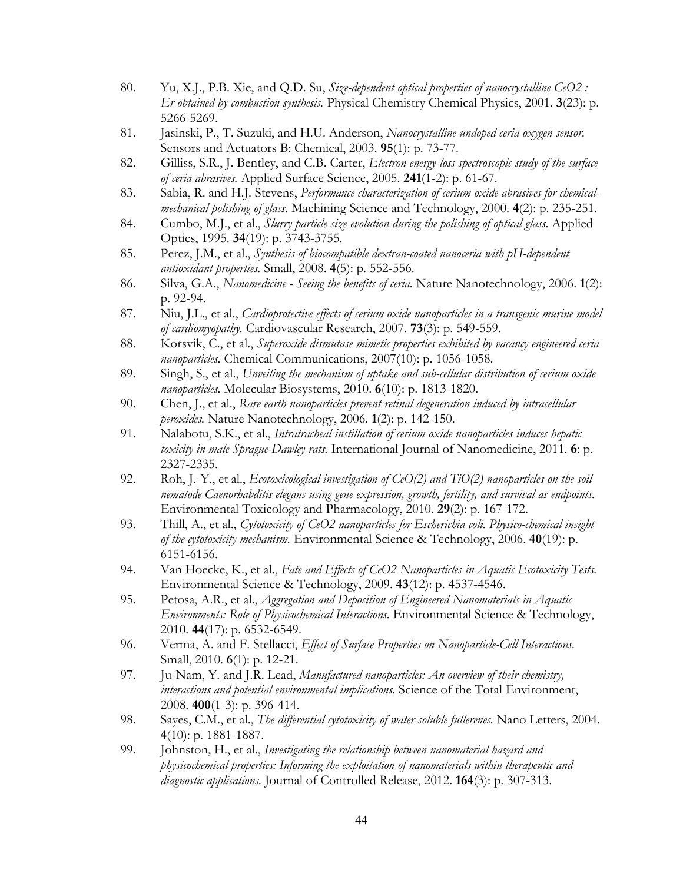- 80. Yu, X.J., P.B. Xie, and Q.D. Su, *Size-dependent optical properties of nanocrystalline CeO2 : Er obtained by combustion synthesis.* Physical Chemistry Chemical Physics, 2001. **3**(23): p. 5266-5269.
- 81. Jasinski, P., T. Suzuki, and H.U. Anderson, *Nanocrystalline undoped ceria oxygen sensor.* Sensors and Actuators B: Chemical, 2003. **95**(1): p. 73-77.
- <span id="page-51-0"></span>82. Gilliss, S.R., J. Bentley, and C.B. Carter, *Electron energy-loss spectroscopic study of the surface of ceria abrasives.* Applied Surface Science, 2005. **241**(1-2): p. 61-67.
- 83. Sabia, R. and H.J. Stevens, *Performance characterization of cerium oxide abrasives for chemicalmechanical polishing of glass.* Machining Science and Technology, 2000. **4**(2): p. 235-251.
- 84. Cumbo, M.J., et al., *Slurry particle size evolution during the polishing of optical glass.* Applied Optics, 1995. **34**(19): p. 3743-3755.
- <span id="page-51-1"></span>85. Perez, J.M., et al., *Synthesis of biocompatible dextran-coated nanoceria with pH-dependent antioxidant properties.* Small, 2008. **4**(5): p. 552-556.
- 86. Silva, G.A., *Nanomedicine - Seeing the benefits of ceria.* Nature Nanotechnology, 2006. **1**(2): p. 92-94.
- <span id="page-51-4"></span>87. Niu, J.L., et al., *Cardioprotective effects of cerium oxide nanoparticles in a transgenic murine model of cardiomyopathy.* Cardiovascular Research, 2007. **73**(3): p. 549-559.
- <span id="page-51-2"></span>88. Korsvik, C., et al., *Superoxide dismutase mimetic properties exhibited by vacancy engineered ceria nanoparticles.* Chemical Communications, 2007(10): p. 1056-1058.
- <span id="page-51-3"></span>89. Singh, S., et al., *Unveiling the mechanism of uptake and sub-cellular distribution of cerium oxide nanoparticles.* Molecular Biosystems, 2010. **6**(10): p. 1813-1820.
- <span id="page-51-5"></span>90. Chen, J., et al., *Rare earth nanoparticles prevent retinal degeneration induced by intracellular peroxides.* Nature Nanotechnology, 2006. **1**(2): p. 142-150.
- <span id="page-51-6"></span>91. Nalabotu, S.K., et al., *Intratracheal instillation of cerium oxide nanoparticles induces hepatic toxicity in male Sprague-Dawley rats.* International Journal of Nanomedicine, 2011. **6**: p. 2327-2335.
- <span id="page-51-7"></span>92. Roh, J.-Y., et al., *Ecotoxicological investigation of CeO(2) and TiO(2) nanoparticles on the soil nematode Caenorhabditis elegans using gene expression, growth, fertility, and survival as endpoints.* Environmental Toxicology and Pharmacology, 2010. **29**(2): p. 167-172.
- <span id="page-51-8"></span>93. Thill, A., et al., *Cytotoxicity of CeO2 nanoparticles for Escherichia coli. Physico-chemical insight of the cytotoxicity mechanism.* Environmental Science & Technology, 2006. **40**(19): p. 6151-6156.
- <span id="page-51-9"></span>94. Van Hoecke, K., et al., *Fate and Effects of CeO2 Nanoparticles in Aquatic Ecotoxicity Tests.* Environmental Science & Technology, 2009. **43**(12): p. 4537-4546.
- <span id="page-51-10"></span>95. Petosa, A.R., et al., *Aggregation and Deposition of Engineered Nanomaterials in Aquatic Environments: Role of Physicochemical Interactions.* Environmental Science & Technology, 2010. **44**(17): p. 6532-6549.
- <span id="page-51-11"></span>96. Verma, A. and F. Stellacci, *Effect of Surface Properties on Nanoparticle-Cell Interactions.* Small, 2010. **6**(1): p. 12-21.
- <span id="page-51-12"></span>97. Ju-Nam, Y. and J.R. Lead, *Manufactured nanoparticles: An overview of their chemistry, interactions and potential environmental implications.* Science of the Total Environment, 2008. **400**(1-3): p. 396-414.
- <span id="page-51-13"></span>98. Sayes, C.M., et al., *The differential cytotoxicity of water-soluble fullerenes.* Nano Letters, 2004. **4**(10): p. 1881-1887.
- <span id="page-51-14"></span>99. Johnston, H., et al., *Investigating the relationship between nanomaterial hazard and physicochemical properties: Informing the exploitation of nanomaterials within therapeutic and diagnostic applications.* Journal of Controlled Release, 2012. **164**(3): p. 307-313.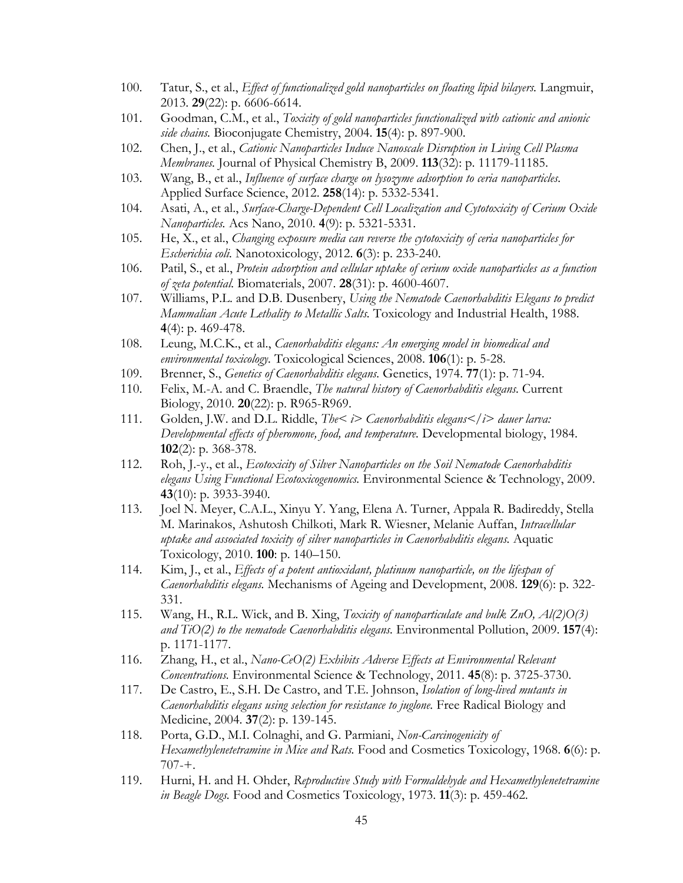- <span id="page-52-0"></span>100. Tatur, S., et al., *Effect of functionalized gold nanoparticles on floating lipid bilayers.* Langmuir, 2013. **29**(22): p. 6606-6614.
- <span id="page-52-1"></span>101. Goodman, C.M., et al., *Toxicity of gold nanoparticles functionalized with cationic and anionic side chains.* Bioconjugate Chemistry, 2004. **15**(4): p. 897-900.
- <span id="page-52-2"></span>102. Chen, J., et al., *Cationic Nanoparticles Induce Nanoscale Disruption in Living Cell Plasma Membranes.* Journal of Physical Chemistry B, 2009. **113**(32): p. 11179-11185.
- <span id="page-52-3"></span>103. Wang, B., et al., *Influence of surface charge on lysozyme adsorption to ceria nanoparticles.* Applied Surface Science, 2012. **258**(14): p. 5332-5341.
- <span id="page-52-4"></span>104. Asati, A., et al., *Surface-Charge-Dependent Cell Localization and Cytotoxicity of Cerium Oxide Nanoparticles.* Acs Nano, 2010. **4**(9): p. 5321-5331.
- <span id="page-52-5"></span>105. He, X., et al., *Changing exposure media can reverse the cytotoxicity of ceria nanoparticles for Escherichia coli.* Nanotoxicology, 2012. **6**(3): p. 233-240.
- <span id="page-52-6"></span>106. Patil, S., et al., *Protein adsorption and cellular uptake of cerium oxide nanoparticles as a function of zeta potential.* Biomaterials, 2007. **28**(31): p. 4600-4607.
- <span id="page-52-7"></span>107. Williams, P.L. and D.B. Dusenbery, *Using the Nematode Caenorhabditis Elegans to predict Mammalian Acute Lethality to Metallic Salts.* Toxicology and Industrial Health, 1988. **4**(4): p. 469-478.
- <span id="page-52-8"></span>108. Leung, M.C.K., et al., *Caenorhabditis elegans: An emerging model in biomedical and environmental toxicology.* Toxicological Sciences, 2008. **106**(1): p. 5-28.
- <span id="page-52-9"></span>109. Brenner, S., *Genetics of Caenorhabditis elegans.* Genetics, 1974. **77**(1): p. 71-94.
- <span id="page-52-10"></span>110. Felix, M.-A. and C. Braendle, *The natural history of Caenorhabditis elegans.* Current Biology, 2010. **20**(22): p. R965-R969.
- <span id="page-52-11"></span>111. Golden, J.W. and D.L. Riddle, *The< i> Caenorhabditis elegans</i> dauer larva: Developmental effects of pheromone, food, and temperature.* Developmental biology, 1984. **102**(2): p. 368-378.
- <span id="page-52-12"></span>112. Roh, J.-y., et al., *Ecotoxicity of Silver Nanoparticles on the Soil Nematode Caenorhabditis elegans Using Functional Ecotoxicogenomics.* Environmental Science & Technology, 2009. **43**(10): p. 3933-3940.
- <span id="page-52-13"></span>113. Joel N. Meyer, C.A.L., Xinyu Y. Yang, Elena A. Turner, Appala R. Badireddy, Stella M. Marinakos, Ashutosh Chilkoti, Mark R. Wiesner, Melanie Auffan, *Intracellular uptake and associated toxicity of silver nanoparticles in Caenorhabditis elegans.* Aquatic Toxicology, 2010. **100**: p. 140–150.
- <span id="page-52-14"></span>114. Kim, J., et al., *Effects of a potent antioxidant, platinum nanoparticle, on the lifespan of Caenorhabditis elegans.* Mechanisms of Ageing and Development, 2008. **129**(6): p. 322- 331.
- <span id="page-52-15"></span>115. Wang, H., R.L. Wick, and B. Xing, *Toxicity of nanoparticulate and bulk ZnO, Al(2)O(3) and TiO(2) to the nematode Caenorhabditis elegans.* Environmental Pollution, 2009. **157**(4): p. 1171-1177.
- <span id="page-52-16"></span>116. Zhang, H., et al., *Nano-CeO(2) Exhibits Adverse Effects at Environmental Relevant Concentrations.* Environmental Science & Technology, 2011. **45**(8): p. 3725-3730.
- <span id="page-52-17"></span>117. De Castro, E., S.H. De Castro, and T.E. Johnson, *Isolation of long-lived mutants in Caenorhabditis elegans using selection for resistance to juglone.* Free Radical Biology and Medicine, 2004. **37**(2): p. 139-145.
- <span id="page-52-18"></span>118. Porta, G.D., M.I. Colnaghi, and G. Parmiani, *Non-Carcinogenicity of Hexamethylenetetramine in Mice and Rats.* Food and Cosmetics Toxicology, 1968. **6**(6): p. 707-+.
- <span id="page-52-19"></span>119. Hurni, H. and H. Ohder, *Reproductive Study with Formaldehyde and Hexamethylenetetramine in Beagle Dogs.* Food and Cosmetics Toxicology, 1973. **11**(3): p. 459-462.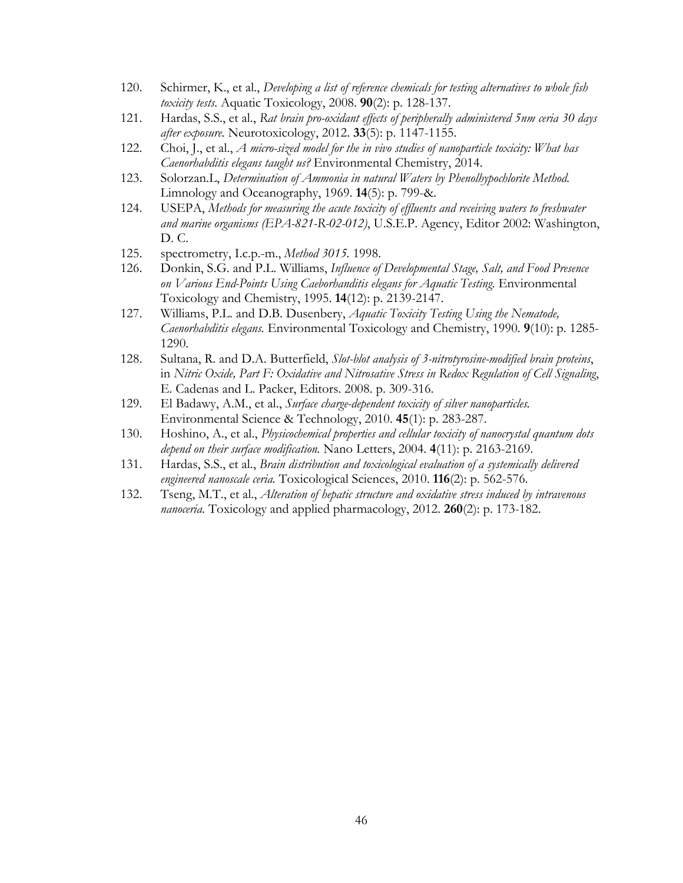- <span id="page-53-0"></span>120. Schirmer, K., et al., *Developing a list of reference chemicals for testing alternatives to whole fish toxicity tests.* Aquatic Toxicology, 2008. **90**(2): p. 128-137.
- <span id="page-53-1"></span>121. Hardas, S.S., et al., *Rat brain pro-oxidant effects of peripherally administered 5nm ceria 30 days after exposure.* Neurotoxicology, 2012. **33**(5): p. 1147-1155.
- <span id="page-53-2"></span>122. Choi, J., et al., *A micro-sized model for the in vivo studies of nanoparticle toxicity: What has Caenorhabditis elegans taught us?* Environmental Chemistry, 2014.
- <span id="page-53-3"></span>123. Solorzan.L, *Determination of Ammonia in natural Waters by Phenolhypochlorite Method.* Limnology and Oceanography, 1969. **14**(5): p. 799-&.
- <span id="page-53-4"></span>124. USEPA, *Methods for measuring the acute toxicity of effluents and receiving waters to freshwater and marine organisms (EPA-821-R-02-012)*, U.S.E.P. Agency, Editor 2002: Washington, D. C.
- <span id="page-53-5"></span>125. spectrometry, I.c.p.-m., *Method 3015.* 1998.
- <span id="page-53-6"></span>126. Donkin, S.G. and P.L. Williams, *Influence of Developmental Stage, Salt, and Food Presence on Various End-Points Using Caeborhanditis elegans for Aquatic Testing.* Environmental Toxicology and Chemistry, 1995. **14**(12): p. 2139-2147.
- <span id="page-53-7"></span>127. Williams, P.L. and D.B. Dusenbery, *Aquatic Toxicity Testing Using the Nematode, Caenorhabditis elegans.* Environmental Toxicology and Chemistry, 1990. **9**(10): p. 1285- 1290.
- <span id="page-53-8"></span>128. Sultana, R. and D.A. Butterfield, *Slot-blot analysis of 3-nitrotyrosine-modified brain proteins*, in *Nitric Oxide, Part F: Oxidative and Nitrosative Stress in Redox Regulation of Cell Signaling*, E. Cadenas and L. Packer, Editors. 2008. p. 309-316.
- <span id="page-53-9"></span>129. El Badawy, A.M., et al., *Surface charge-dependent toxicity of silver nanoparticles.* Environmental Science & Technology, 2010. **45**(1): p. 283-287.
- <span id="page-53-10"></span>130. Hoshino, A., et al., *Physicochemical properties and cellular toxicity of nanocrystal quantum dots depend on their surface modification.* Nano Letters, 2004. **4**(11): p. 2163-2169.
- <span id="page-53-11"></span>131. Hardas, S.S., et al., *Brain distribution and toxicological evaluation of a systemically delivered engineered nanoscale ceria.* Toxicological Sciences, 2010. **116**(2): p. 562-576.
- <span id="page-53-12"></span>132. Tseng, M.T., et al., *Alteration of hepatic structure and oxidative stress induced by intravenous nanoceria.* Toxicology and applied pharmacology, 2012. **260**(2): p. 173-182.